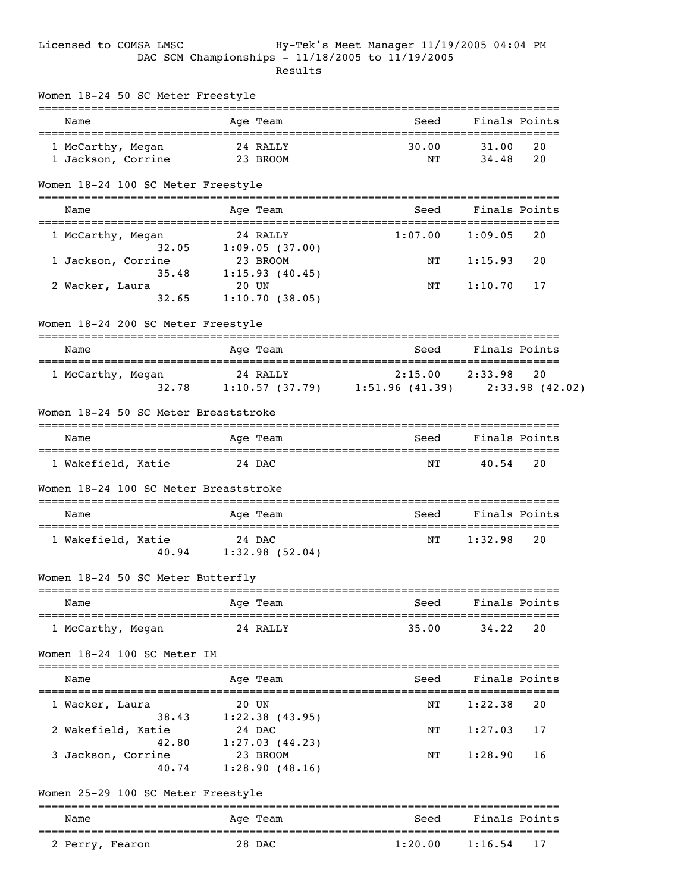# Licensed to COMSA LMSC Hy-Tek's Meet Manager 11/19/2005 04:04 PM DAC SCM Championships - 11/18/2005 to 11/19/2005 **Results Results**

| Name                                         |          | Age Team              | Seed                                                  |               | Finals Points |
|----------------------------------------------|----------|-----------------------|-------------------------------------------------------|---------------|---------------|
| 1 McCarthy, Megan                            |          | 24 RALLY              | 30.00                                                 | 31.00         | 20            |
| 1 Jackson, Corrine                           | 23 BROOM |                       | NΤ                                                    | 34.48         | 20            |
| Women 18-24 100 SC Meter Freestyle           |          |                       |                                                       |               |               |
| Name                                         |          | Age Team              | Seed                                                  | Finals Points |               |
| 1 McCarthy, Megan                            |          | 24 RALLY              | 1:07.00                                               | 1:09.05       | 20            |
| 32.05                                        |          | 1:09.05(37.00)        |                                                       |               |               |
| 1 Jackson, Corrine                           | 23 BROOM |                       | NΤ                                                    | 1:15.93       | 20            |
|                                              |          | 35.48 1:15.93 (40.45) |                                                       |               |               |
| 2 Wacker, Laura<br>32.65                     | 20 UN    | 1:10.70(38.05)        | ΝT                                                    | 1:10.70       | 17            |
|                                              |          |                       |                                                       |               |               |
| Women 18-24 200 SC Meter Freestyle           |          |                       |                                                       |               |               |
| Name                                         |          | Age Team              | Seed                                                  |               | Finals Points |
| 1 McCarthy, Megan                            | 24 RALLY |                       | 2:15.00                                               | 2:33.98       | 20            |
|                                              |          |                       | 32.78 1:10.57 (37.79) 1:51.96 (41.39) 2:33.98 (42.02) |               |               |
| Women 18-24 50 SC Meter Breaststroke<br>Name |          | Age Team              | Seed                                                  | Finals Points |               |
|                                              |          |                       |                                                       |               |               |
| 1 Wakefield, Katie                           |          | 24 DAC                | ΝT                                                    | 40.54         | 20            |
| Women 18-24 100 SC Meter Breaststroke        |          |                       |                                                       |               |               |
| Name                                         |          | Age Team              | Seed                                                  | Finals Points |               |
| 1 Wakefield, Katie                           | 24 DAC   |                       | NT                                                    | 1:32.98       | 20            |
|                                              |          | 40.94 1:32.98 (52.04) |                                                       |               |               |
| Women 18-24 50 SC Meter Butterfly            |          |                       |                                                       |               |               |
| Name                                         |          | Age Team              | Seed                                                  |               | Finals Points |
| 1 McCarthy, Megan                            |          | 24 RALLY              | 35.00                                                 | 34.22         | 20            |
| Women 18-24 100 SC Meter IM                  |          |                       |                                                       |               |               |
| Name                                         |          | Age Team              | Seed                                                  |               | Finals Points |
|                                              |          |                       |                                                       |               |               |
| 1 Wacker, Laura<br>38.43                     | 20 UN    | 1:22.38(43.95)        | NΤ                                                    | 1:22.38       | 20            |
| 2 Wakefield, Katie                           |          | 24 DAC                | NT                                                    | 1:27.03       | 17            |
| 42.80                                        |          | 1:27.03(44.23)        |                                                       |               |               |
| 3 Jackson, Corrine                           |          | 23 BROOM              | NT                                                    | 1:28.90       | 16            |
| 40.74                                        |          | 1:28.90(48.16)        |                                                       |               |               |
| Women 25-29 100 SC Meter Freestyle           |          |                       |                                                       |               |               |
| Name                                         |          | Age Team              | Seed                                                  |               | Finals Points |
|                                              |          | 28 DAC                | 1:20.00                                               | 1:16.54       | 17            |
| 2 Perry, Fearon                              |          |                       |                                                       |               |               |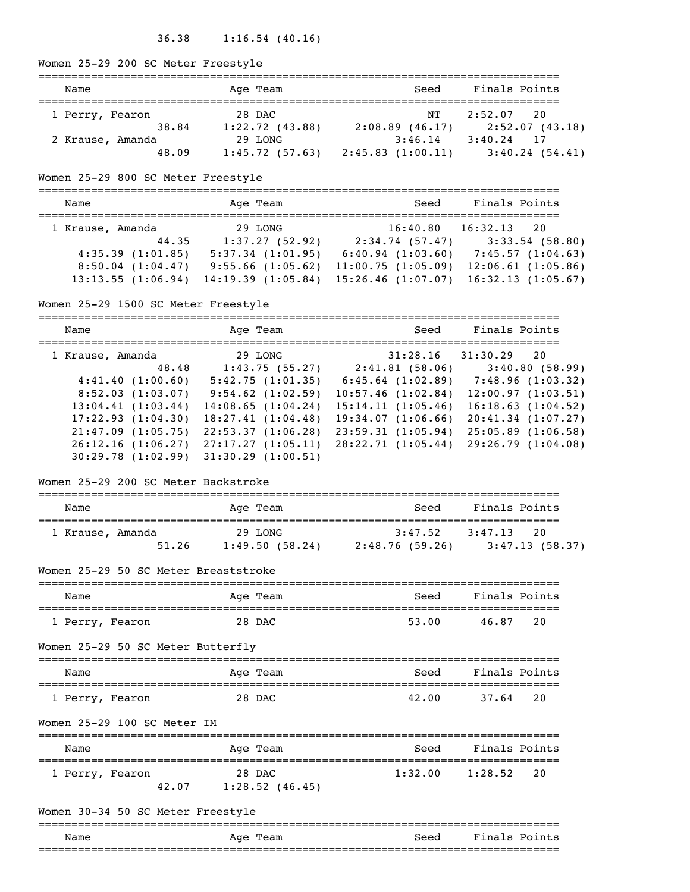# 36.38 1:16.54 (40.16)

# Women 25-29 200 SC Meter Freestyle

| Name             |       | Age Team            | Seed              | Finals Points   |
|------------------|-------|---------------------|-------------------|-----------------|
| 1 Perry, Fearon  |       | 28 DAC              | NТ                | 2:52.07 20      |
|                  | 38.84 | $1:22.72$ $(43.88)$ | $2:08.89$ (46.17) | 2:52.07 (43.18) |
| 2 Krause, Amanda |       | 29 LONG             | 3:46.14           | $3:40.24$ 17    |
|                  | 48.09 | 1:45.72(57.63)      | 2:45.83(1:00.11)  | 3:40.24(54.41)  |

# Women 25-29 800 SC Meter Freestyle

| Name                  | Age Team              | Seed                   | Finals Points          |
|-----------------------|-----------------------|------------------------|------------------------|
| 1 Krause, Amanda      | 29 LONG               | 16:40.80               | 16:32.13<br>- 20       |
| 44.35                 | 1:37.27(52.92)        | 2:34.74(57.47)         | 3:33.54(58.80)         |
| 4:35.39(1:01.85)      | $5:37.34$ $(1:01.95)$ | $6:40.94$ $(1:03.60)$  | 7:45.57(1:04.63)       |
| $8:50.04$ $(1:04.47)$ | $9:55.66$ $(1:05.62)$ | 11:00.75(1:05.09)      | $12:06.61$ $(1:05.86)$ |
| 13:13.55(1:06.94)     | 14:19.39(1:05.84)     | $15:26.46$ $(1:07.07)$ | 16:32.13(1:05.67)      |

# Women 25-29 1500 SC Meter Freestyle

| Name              | Age Team               | Seed                   | Finals Points     |
|-------------------|------------------------|------------------------|-------------------|
| 1 Krause, Amanda  | 29 LONG                | 31:28.16               | 31:30.29<br>20    |
| 48.48             | 1:43.75(55.27)         | 2:41.81(58.06)         | 3:40.80(58.99)    |
| 4:41.40(1:00.60)  | 5:42.75(1:01.35)       | $6:45.64$ $(1:02.89)$  | 7:48.96(1:03.32)  |
| 8:52.03(1:03.07)  | $9:54.62$ $(1:02.59)$  | $10:57.46$ $(1:02.84)$ | 12:00.97(1:03.51) |
| 13:04.41(1:03.44) | 14:08.65(1:04.24)      | 15:14.11(1:05.46)      | 16:18.63(1:04.52) |
| 17:22.93(1:04.30) | 18:27.41(1:04.48)      | 19:34.07(1:06.66)      | 20:41.34(1:07.27) |
| 21:47.09(1:05.75) | 22:53.37(1:06.28)      | 23:59.31(1:05.94)      | 25:05.89(1:06.58) |
| 26:12.16(1:06.27) | 27:17.27(1:05.11)      | 28:22.71(1:05.44)      | 29:26.79(1:04.08) |
| 30:29.78(1:02.99) | $31:30.29$ $(1:00.51)$ |                        |                   |

#### Women 25-29 200 SC Meter Backstroke

| Name                                 |                 | Age Team          | Seed                                                             | Finals Points |     |
|--------------------------------------|-----------------|-------------------|------------------------------------------------------------------|---------------|-----|
| 1 Krause, Amanda                     |                 | 29 LONG           | 3:47.52<br>51.26 1:49.50 (58.24) 2:48.76 (59.26) 3:47.13 (58.37) | 3:47.13       | 20  |
| Women 25-29 50 SC Meter Breaststroke |                 |                   |                                                                  |               |     |
| Name                                 |                 | Age Team          | Seed                                                             | Finals Points |     |
| 1 Perry, Fearon                      |                 | 28 DAC            | 53.00                                                            | 46.87         | 2.0 |
| Women 25-29 50 SC Meter Butterfly    |                 |                   |                                                                  |               |     |
| Name                                 |                 | Age Team          | Seed                                                             | Finals Points |     |
| 1 Perry, Fearon                      |                 | 28 DAC            | 42.00                                                            | 37.64         | 20  |
| Women 25-29 100 SC Meter IM          |                 |                   |                                                                  |               |     |
| Name                                 |                 | Age Team          | Seed                                                             | Finals Points |     |
| 1 Perry, Fearon                      | 28 DAC<br>42.07 | $1:28.52$ (46.45) | $1:32.00$ $1:28.52$ 20                                           |               |     |
| Women 30-34 50 SC Meter Freestyle    |                 |                   |                                                                  |               |     |
| Name                                 | -------         | Age Team          | Seed                                                             | Finals Points |     |
|                                      |                 |                   |                                                                  |               |     |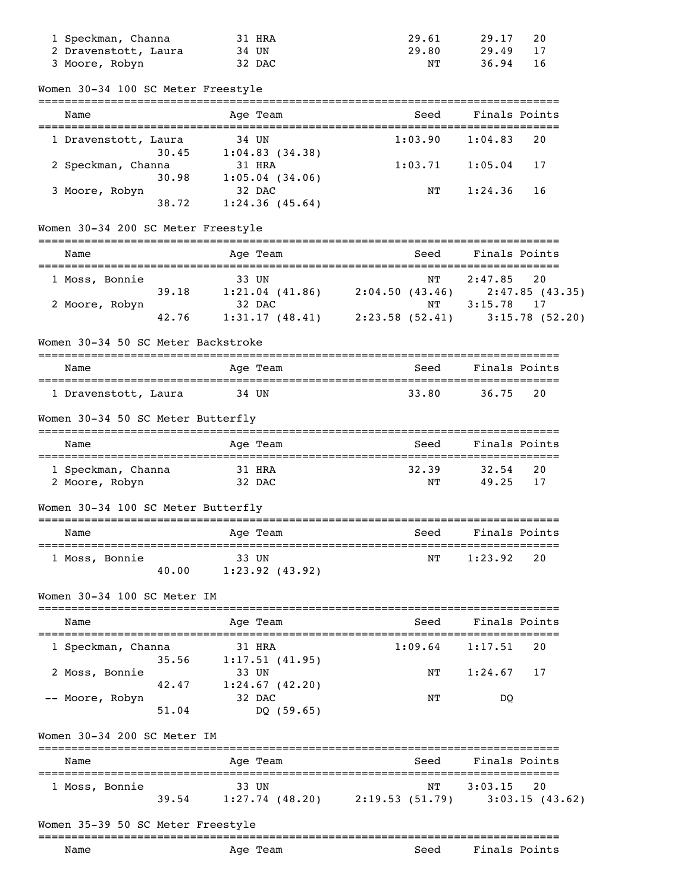| 1 Speckman, Channa   | 31 HRA | 29.61 | 29.17 | 20 |
|----------------------|--------|-------|-------|----|
| 2 Dravenstott, Laura | 34 UN  | 29.80 | 29.49 |    |
| 3 Moore, Robyn       | 32 DAC | NΤ    | 36.94 |    |

| Name                                 | Age Team                                      | Seed                                                        | Finals Points                   |                      |
|--------------------------------------|-----------------------------------------------|-------------------------------------------------------------|---------------------------------|----------------------|
| 1 Dravenstott, Laura<br>30.45        | 34 UN<br>1:04.83(34.38)                       | -------------------<br>1:03.90                              | ====================<br>1:04.83 | 20                   |
| 2 Speckman, Channa                   | 31 HRA                                        | 1:03.71                                                     | 1:05.04                         | 17                   |
| 30.98<br>3 Moore, Robyn<br>38.72     | $1:05.04$ (34.06)<br>32 DAC<br>1:24.36(45.64) | ΝT                                                          | 1:24.36                         | 16                   |
| Women 30-34 200 SC Meter Freestyle   |                                               |                                                             |                                 |                      |
| Name                                 | Age Team                                      | Seed                                                        |                                 | Finals Points        |
| 1 Moss, Bonnie<br>39.18              | 33 UN                                         | NΤ<br>$1:21.04$ (41.86) $2:04.50$ (43.46)                   | 2:47.85                         | 20<br>2:47.85(43.35) |
| 2 Moore, Robyn<br>42.76              | 32 DAC                                        | ΝT<br>$1:31.17$ (48.41) $2:23.58$ (52.41) $3:15.78$ (52.20) | 3:15.78                         | 17                   |
| Women 30-34 50 SC Meter Backstroke   | --------------                                |                                                             |                                 |                      |
| Name                                 | Age Team                                      | Seed                                                        | Finals Points                   |                      |
|                                      |                                               |                                                             |                                 |                      |
| 1 Dravenstott, Laura                 | 34 UN                                         | 33.80                                                       | 36.75                           | 20                   |
| Women 30-34 50 SC Meter Butterfly    |                                               |                                                             |                                 |                      |
| Name                                 | Age Team                                      | Seed                                                        | Finals Points                   |                      |
| 1 Speckman, Channa<br>2 Moore, Robyn | 31 HRA<br>32 DAC                              | 32.39<br>NΤ                                                 | 32.54<br>49.25                  | 20<br>17             |
| Women 30-34 100 SC Meter Butterfly   |                                               |                                                             |                                 |                      |
| Name                                 | Age Team                                      | Seed                                                        | Finals Points                   |                      |
| 1 Moss, Bonnie<br>40.00              | 33 UN<br>$1:23.92$ (43.92)                    | NΤ                                                          | 1:23.92                         | 20                   |
| Women 30-34 100 SC Meter IM          |                                               |                                                             |                                 |                      |
| Name                                 | Age Team                                      | Seed                                                        | Finals Points                   |                      |
| -------------<br>1 Speckman, Channa  | 31 HRA                                        | 1:09.64                                                     | 1:17.51                         | 20                   |
| 35.56<br>2 Moss, Bonnie<br>42.47     | 1:17.51(41.95)<br>33 UN<br>$1:24.67$ (42.20)  | NΤ                                                          | 1:24.67                         | 17                   |

| Name           |       | Age Team          |                | Seed | Finals Points  |
|----------------|-------|-------------------|----------------|------|----------------|
| 1 Moss, Bonnie |       | 33 UN             |                | NT   | $3:03.15$ 20   |
|                | 39.54 | $1:27.74$ (48.20) | 2:19.53(51.79) |      | 3:03.15(43.62) |

# Women 35-39 50 SC Meter Freestyle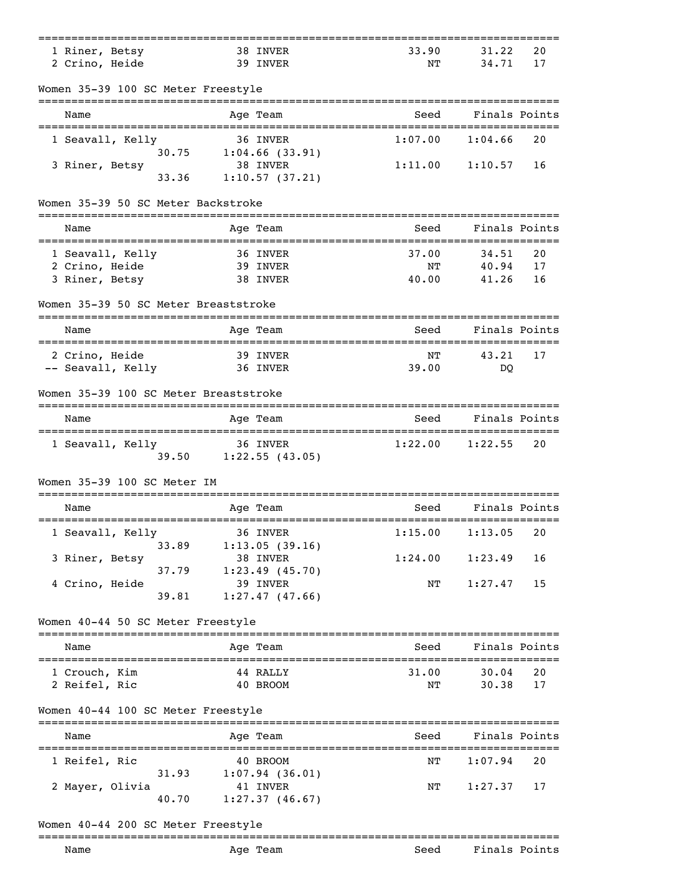| 1 Riner, Betsy                            | 38 INVER                          | 33.90                                | 31.22          | 20       |
|-------------------------------------------|-----------------------------------|--------------------------------------|----------------|----------|
| 2 Crino, Heide                            | 39 INVER                          | NΤ                                   | 34.71          | 17       |
| Women 35-39 100 SC Meter Freestyle        |                                   |                                      |                |          |
| Name                                      | Age Team                          | Seed                                 | Finals Points  |          |
| 1 Seavall, Kelly                          | 36 INVER                          | 1:07.00                              | 1:04.66        | 20       |
| 30.75<br>3 Riner, Betsy                   | $1:04.66$ (33.91)<br>38 INVER     | 1:11.00                              | 1:10.57        | 16       |
| 33.36                                     | 1:10.57(37.21)                    |                                      |                |          |
| Women 35-39 50 SC Meter Backstroke        |                                   |                                      |                |          |
| =================================<br>Name | Age Team                          | Seed                                 | Finals Points  |          |
| 1 Seavall, Kelly                          | 36 INVER                          | 37.00                                | 34.51          | 20       |
| 2 Crino, Heide                            | 39 INVER                          | NΤ                                   | 40.94          | 17       |
| 3 Riner, Betsy                            | 38 INVER                          | 40.00                                | 41.26          | 16       |
| Women 35-39 50 SC Meter Breaststroke      |                                   |                                      |                |          |
| Name                                      | Age Team                          | Seed                                 | Finals Points  |          |
| 2 Crino, Heide                            | 39 INVER                          | NΤ                                   | 43.21          | 17       |
| -- Seavall, Kelly                         | 36 INVER                          | 39.00                                | DQ             |          |
| Women 35-39 100 SC Meter Breaststroke     |                                   |                                      |                |          |
| Name                                      | Age Team                          | Seed                                 | Finals Points  |          |
| 1 Seavall, Kelly                          | 36 INVER<br>39.50 1:22.55 (43.05) | 1:22.00                              | 1:22.55        | 20       |
| Women 35-39 100 SC Meter IM               |                                   |                                      |                |          |
| Name                                      | Age Team                          | Seed<br>============================ | Finals Points  |          |
| 1 Seavall, Kelly                          | ==========<br>36 INVER            | 1:15.00                              | 1:13.05        | 20       |
| 33.89<br>3 Riner, Betsy                   | 1:13.05(39.16)<br>38 INVER        | 1:24.00                              | 1:23.49        | 16       |
| 37.79<br>4 Crino, Heide                   | $1:23.49$ (45.70)<br>39 INVER     | NΤ                                   | 1:27.47        | 15       |
| 39.81                                     | 1:27.47(47.66)                    |                                      |                |          |
| Women 40-44 50 SC Meter Freestyle         |                                   |                                      |                |          |
| Name                                      | Age Team                          | Seed                                 | Finals Points  |          |
|                                           |                                   |                                      |                |          |
| 1 Crouch, Kim<br>2 Reifel, Ric            | 44 RALLY<br>40 BROOM              | 31.00<br>ΝT                          | 30.04<br>30.38 | 20<br>17 |
| Women 40-44 100 SC Meter Freestyle        |                                   |                                      |                |          |
| Name                                      | Age Team                          | Seed                                 | Finals Points  |          |
|                                           |                                   |                                      |                |          |
| 1 Reifel, Ric<br>31.93                    | 40 BROOM<br>1:07.94(36.01)        | ΝT                                   | 1:07.94        | 20       |
| 2 Mayer, Olivia<br>40.70                  | 41 INVER<br>1:27.37(46.67)        | NΤ                                   | 1:27.37        | 17       |
| Women 40-44 200 SC Meter Freestyle        |                                   |                                      |                |          |
| ------------------------                  |                                   |                                      |                |          |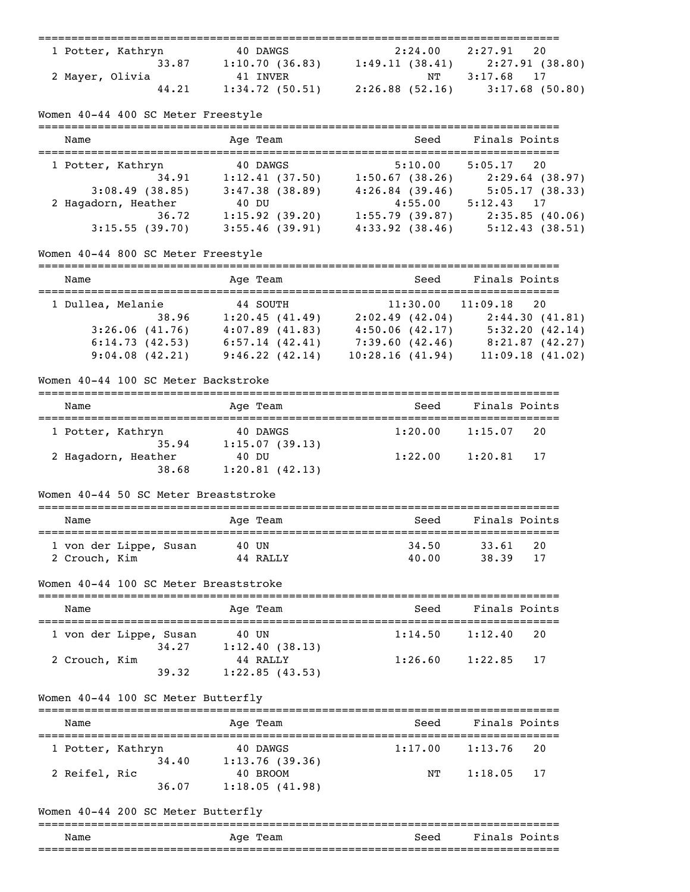| 1 Potter, Kathryn | 40 DAWGS       | 2:24.00           | $2:27.91$ 20      |
|-------------------|----------------|-------------------|-------------------|
| 33.87             | 1:10.70(36.83) | 1:49.11(38.41)    | 2:27.91 (38.80)   |
| 2 Mayer, Olivia   | 41 INVER       | NT                | 3:17.68 17        |
| 44.21             | 1:34.72(50.51) | $2:26.88$ (52.16) | $3:17.68$ (50.80) |

## Women 40-44 400 SC Meter Freestyle

| Name                | Age Team          | Seed                | Finals Points  |
|---------------------|-------------------|---------------------|----------------|
| 1 Potter, Kathryn   | 40 DAWGS          | 5:10.00             | $5:05.17$ 20   |
| 34.91               | 1:12.41(37.50)    | 1:50.67(38.26)      | 2:29.64(38.97) |
| $3:08.49$ (38.85)   | $3:47.38$ (38.89) | 4:26.84(39.46)      | 5:05.17(38.33) |
| 2 Hagadorn, Heather | 40 DU             | 4:55.00             | $5:12.43$ 17   |
| 36.72               | 1:15.92(39.20)    | 1:55.79(39.87)      | 2:35.85(40.06) |
| 3:15.55(39.70)      | $3:55.46$ (39.91) | $4:33.92$ $(38.46)$ | 5:12.43(38.51) |

# Women 40-44 800 SC Meter Freestyle

| Name              | Age Team       | Seed            | Finals Points   |
|-------------------|----------------|-----------------|-----------------|
| 1 Dullea, Melanie | 44 SOUTH       | 11:30.00        | 11:09.18<br>20  |
| 38.96             | 1:20.45(41.49) | 2:02.49(42.04)  | 2:44.30(41.81)  |
| 3:26.06(41.76)    | 4:07.89(41.83) | 4:50.06(42.17)  | 5:32.20(42.14)  |
| 6:14.73(42.53)    | 6:57.14(42.41) | 7:39.60(42.46)  | 8:21.87(42.27)  |
| 9:04.08(42.21)    | 9:46.22(42.14) | 10:28.16(41.94) | 11:09.18(41.02) |

#### Women 40-44 100 SC Meter Backstroke

| Name                         | Age Team                   | Seed    | Finals Points |  |
|------------------------------|----------------------------|---------|---------------|--|
| 1 Potter, Kathryn<br>35.94   | 40 DAWGS<br>1:15.07(39.13) | 1:20.00 | 1:15.07<br>20 |  |
| 2 Hagadorn, Heather<br>38.68 | 40 DU<br>1:20.81(42.13)    | 1:22.00 | 1:20.81<br>17 |  |

## Women 40-44 50 SC Meter Breaststroke

| Name                                    | Age Team          | Seed           | Finals Points  |           |
|-----------------------------------------|-------------------|----------------|----------------|-----------|
| 1 von der Lippe, Susan<br>2 Crouch, Kim | 40 UN<br>44 RALLY | 34.50<br>40.00 | 33.61<br>38.39 | -20<br>17 |

#### Women 40-44 100 SC Meter Breaststroke

| Name                   |       | Age Team                   | Seed    | Finals Points |    |
|------------------------|-------|----------------------------|---------|---------------|----|
| 1 von der Lippe, Susan | 34.27 | 40 UN<br>1:12.40(38.13)    | 1:14.50 | 1:12.40       | 20 |
| 2 Crouch, Kim          | 39.32 | 44 RALLY<br>1:22.85(43.53) | 1:26.60 | 1:22.85       | 17 |

## Women 40-44 100 SC Meter Butterfly

| Name              |       | Age Team                   | Seed    | Finals Points  |  |
|-------------------|-------|----------------------------|---------|----------------|--|
| 1 Potter, Kathryn |       | 40 DAWGS                   | 1:17.00 | 1:13.76<br>-20 |  |
|                   | 34.40 | 1:13.76(39.36)             |         |                |  |
| 2 Reifel, Ric     | 36.07 | 40 BROOM<br>1:18.05(41.98) | NТ      | $1:18.05$ 17   |  |

#### Women 40-44 200 SC Meter Butterfly

#### =============================================================================== Name Mage Team Age Team Seed Finals Points ===============================================================================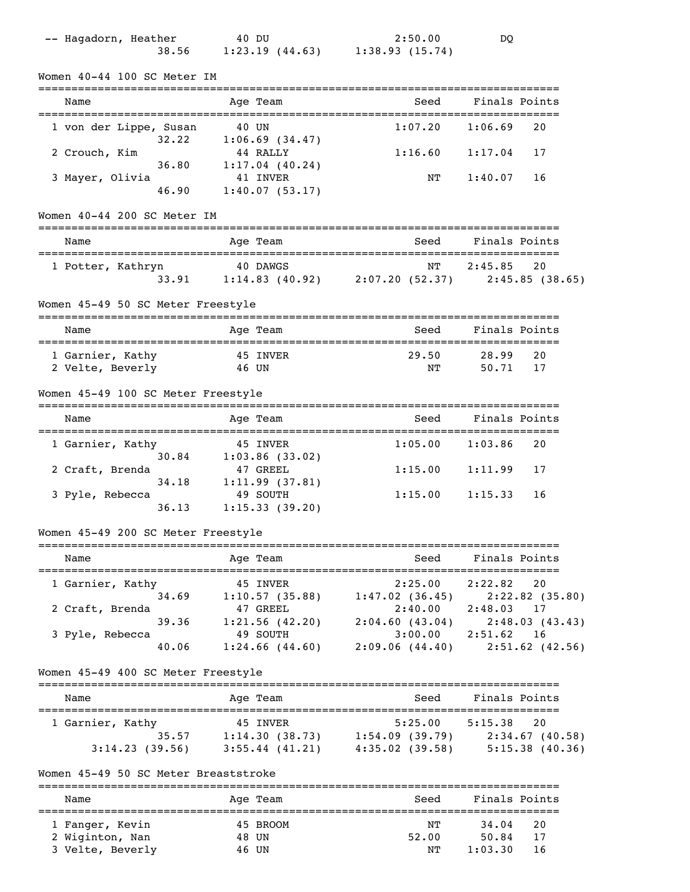| -- Hagadorn, Heather<br>38.56        | 40 DU<br>$1:23.19$ $(44.63)$ $1:38.93$ $(15.74)$                        | 2:50.00                                        | DQ                                                               |
|--------------------------------------|-------------------------------------------------------------------------|------------------------------------------------|------------------------------------------------------------------|
| Women 40-44 100 SC Meter IM          |                                                                         |                                                |                                                                  |
| Name                                 | Age Team                                                                | --------------------------------------<br>Seed | Finals Points                                                    |
| 1 von der Lippe, Susan<br>32.22      | 40 UN<br>$1:06.69$ (34.47)                                              | 1:07.20                                        | 1:06.69<br>20                                                    |
| 2 Crouch, Kim<br>36.80               | 44 RALLY<br>1:17.04(40.24)                                              | 1:16.60                                        | 1:17.04<br>17                                                    |
| 3 Mayer, Olivia<br>46.90             | 41 INVER<br>1:40.07(53.17)                                              | ΝT                                             | 1:40.07<br>16                                                    |
| Women 40-44 200 SC Meter IM          |                                                                         |                                                |                                                                  |
| Name                                 | Age Team                                                                | Seed                                           | Finals Points                                                    |
| 1 Potter, Kathryn<br>33.91           | 40 DAWGS                                                                | ΝT                                             | 2:45.85<br>20<br>1:14.83 (40.92) 2:07.20 (52.37) 2:45.85 (38.65) |
| Women 45-49 50 SC Meter Freestyle    |                                                                         |                                                |                                                                  |
| Name<br>-----------------------      | Age Team                                                                | Seed                                           | Finals Points<br>==============================                  |
| 1 Garnier, Kathy<br>2 Velte, Beverly | 45 INVER<br>46 UN                                                       | 29.50<br>ΝT                                    | 28.99<br>20<br>50.71<br>17                                       |
| Women 45-49 100 SC Meter Freestyle   |                                                                         |                                                |                                                                  |
| Name                                 | Age Team                                                                | Seed                                           | Finals Points                                                    |
| 1 Garnier, Kathy<br>30.84            | 45 INVER<br>$1:03.86$ (33.02)                                           | 1:05.00                                        | 1:03.86<br>20                                                    |
| 2 Craft, Brenda<br>34.18             | 47 GREEL<br>1:11.99(37.81)                                              | 1:15.00                                        | 1:11.99<br>17                                                    |
| 3 Pyle, Rebecca<br>36.13             | 49 SOUTH<br>1:15.33(39.20)                                              | 1:15.00                                        | 1:15.33<br>16                                                    |
| Women 45-49 200 SC Meter Freestyle   |                                                                         |                                                |                                                                  |
| Name                                 | Age Team                                                                | Seed                                           | Finals Points                                                    |
| 1 Garnier, Kathy                     | 45 INVER<br>34.69 1:10.57 (35.88) 1:47.02 (36.45) 2:22.82 (35.80)       | $2:25.00$ $2:22.82$                            | 20                                                               |
| 2 Craft, Brenda<br>39.36             | 47 GREEL<br>1:21.56(42.20)                                              | 2:40.00                                        | 2:48.03<br>17<br>$2:04.60$ (43.04) $2:48.03$ (43.43)             |
| 3 Pyle, Rebecca<br>40.06             | 49 SOUTH<br>$1:24.66$ $(44.60)$                                         |                                                | $3:00.00$ $2:51.62$<br>16<br>$2:09.06$ (44.40) $2:51.62$ (42.56) |
| Women 45-49 400 SC Meter Freestyle   |                                                                         |                                                |                                                                  |
| Name                                 | Age Team                                                                | Seed                                           | Finals Points                                                    |
| 1 Garnier, Kathy                     | 45 INVER<br>35.57 1:14.30 (38.73) 1:54.09 (39.79) 2:34.67 (40.58)       |                                                | $5:25.00$ $5:15.38$<br>20                                        |
|                                      | $3:14.23$ (39.56) $3:55.44$ (41.21) $4:35.02$ (39.58) $5:15.38$ (40.36) |                                                |                                                                  |
| Women 45-49 50 SC Meter Breaststroke |                                                                         |                                                |                                                                  |
| Name                                 | Age Team                                                                |                                                | Seed Finals Points                                               |
| 1 Fanger, Kevin<br>2 Wiginton, Nan   | 45 BROOM<br>48 UN                                                       | NT                                             | 34.04<br>20<br>52.00 50.84<br>17                                 |
| 3 Velte, Beverly                     | 46 UN                                                                   | NT                                             | 1:03.30<br>16                                                    |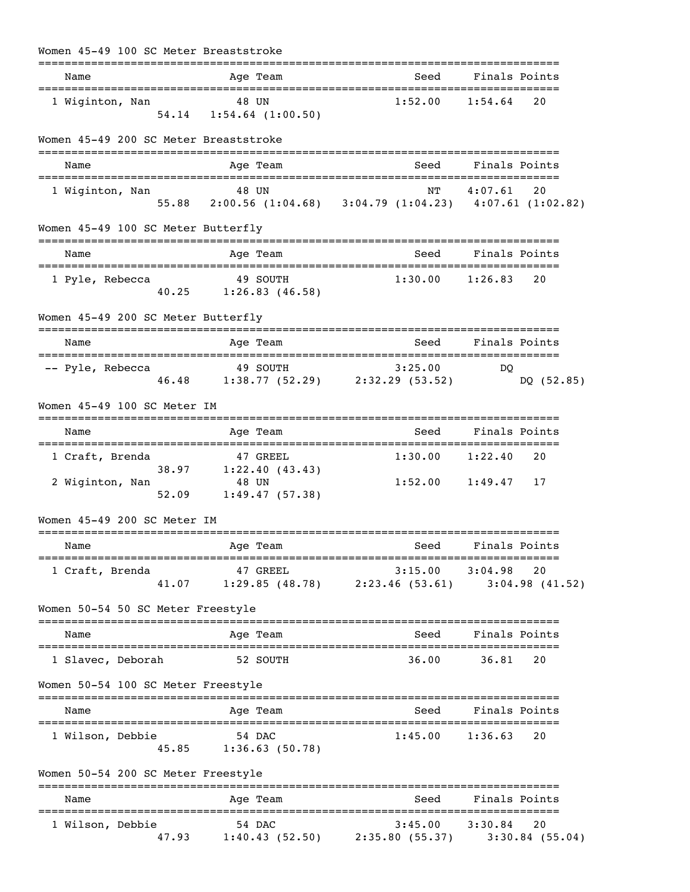| Women 45-49 100 SC Meter Breaststroke |                                                                                             |                                 |                           |
|---------------------------------------|---------------------------------------------------------------------------------------------|---------------------------------|---------------------------|
| Name                                  | Age Team                                                                                    | Seed                            | Finals Points             |
| 1 Wiginton, Nan                       | 48 UN<br>54.14 1:54.64 (1:00.50)                                                            | $1:52.00$ $1:54.64$             | 20                        |
| Women 45-49 200 SC Meter Breaststroke |                                                                                             |                                 |                           |
| Name                                  | Age Team                                                                                    | Seed                            | Finals Points             |
| 1 Wiginton, Nan                       | 48 UN<br>48 UN NT 4:07.61 20<br>55.88 2:00.56 (1:04.68) 3:04.79 (1:04.23) 4:07.61 (1:02.82) | ΝT                              | $4:07.61$ 20              |
| Women 45-49 100 SC Meter Butterfly    |                                                                                             |                                 |                           |
| Name                                  | Age Team                                                                                    | Seed                            | Finals Points             |
| 1 Pyle, Rebecca                       | 49 SOUTH<br>40.25 1:26.83 (46.58)                                                           | $1:30.00$ $1:26.83$             | 20                        |
| Women 45-49 200 SC Meter Butterfly    |                                                                                             | ------------------------------- |                           |
| Name                                  | Age Team                                                                                    | Seed                            | Finals Points             |
| -- Pyle, Rebecca                      | 49 SOUTH<br>46.48 1:38.77 (52.29) 2:32.29 (53.52)                                           | 3:25.00                         | DO.<br>DQ (52.85)         |
| Women 45-49 100 SC Meter IM           |                                                                                             |                                 |                           |
| Name                                  | Age Team                                                                                    | Seed                            | Finals Points             |
| 1 Craft, Brenda                       | 47 GREEL<br>38.97 1:22.40 (43.43)                                                           |                                 | $1:30.00$ $1:22.40$<br>20 |
| 2 Wiginton, Nan                       | 48 UN<br>$52.09$ $1:49.47$ (57.38)                                                          |                                 | $1:52.00$ $1:49.47$ 17    |
| Women 45-49 200 SC Meter IM           |                                                                                             |                                 |                           |
| Name                                  | Age Team                                                                                    | Seed Finals Points              |                           |
| 1 Craft, Brenda                       | 47 GREEL<br>41.07 1:29.85 (48.78) 2:23.46 (53.61) 3:04.98 (41.52)                           |                                 | $3:15.00$ $3:04.98$<br>20 |
| Women 50-54 50 SC Meter Freestyle     |                                                                                             |                                 |                           |
| Name                                  | Age Team                                                                                    |                                 | Seed Finals Points        |
| 1 Slavec, Deborah                     | 52 SOUTH                                                                                    |                                 | 36.00 36.81<br>20         |
| Women 50-54 100 SC Meter Freestyle    |                                                                                             |                                 |                           |
| Name                                  | Age Team                                                                                    | Seed                            | Finals Points             |
| 1 Wilson, Debbie                      | 54 DAC<br>45.85 1:36.63 (50.78)                                                             |                                 | $1:45.00$ $1:36.63$<br>20 |
| Women 50-54 200 SC Meter Freestyle    |                                                                                             |                                 |                           |
| Name                                  | Age Team                                                                                    |                                 | Seed Finals Points        |
| 1 Wilson, Debbie                      | 54 DAC<br>47.93 1:40.43 (52.50) 2:35.80 (55.37) 3:30.84 (55.04)                             |                                 | $3:45.00$ $3:30.84$<br>20 |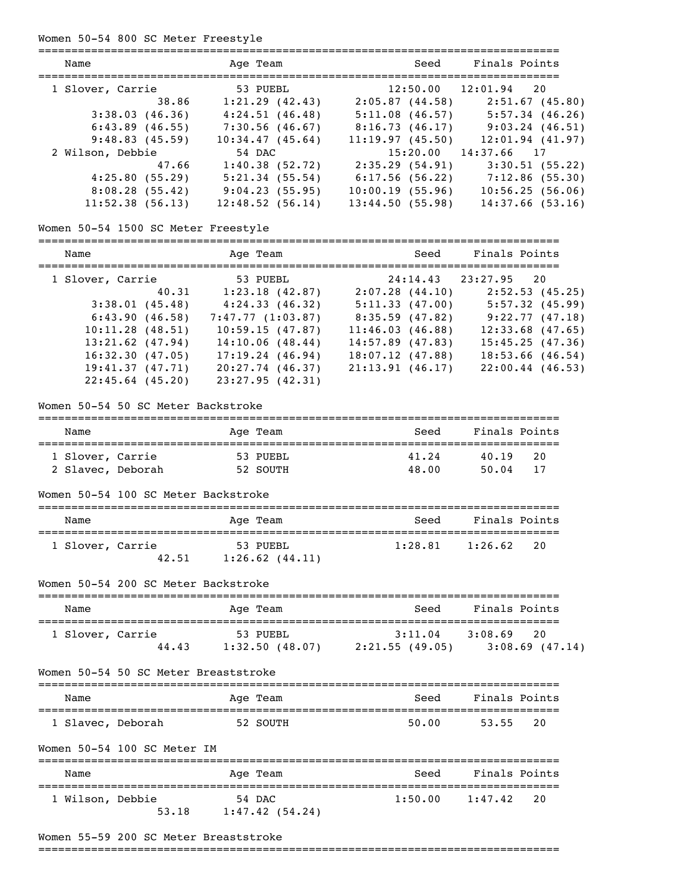#### Women 50-54 800 SC Meter Freestyle

| Name                                        | Age Team                                              |                          | Seed Finals Points                              |
|---------------------------------------------|-------------------------------------------------------|--------------------------|-------------------------------------------------|
| 1 Slover, Carrie                            | 53 PUEBL                                              |                          | $12:50.00$ $12:01.94$ 20                        |
| 38.86                                       |                                                       |                          | 1:21.29 (42.43) 2:05.87 (44.58) 2:51.67 (45.80) |
| 3:38.03(46.36)                              | $4:24.51$ (46.48) 5:11.08 (46.57) 5:57.34 (46.26)     |                          |                                                 |
| 6:43.89(46.55)                              | $7:30.56$ (46.67)                                     |                          | $8:16.73(46.17)$ $9:03.24(46.51)$               |
| 9:48.83(45.59)                              | 10:34.47(45.64)                                       |                          | $11:19.97$ (45.50) $12:01.94$ (41.97)           |
| 2 Wilson, Debbie                            | 54 DAC                                                | $15:20.00$ $14:37.66$ 17 |                                                 |
|                                             | 47.66 1:40.38 (52.72) 2:35.29 (54.91) 3:30.51 (55.22) |                          |                                                 |
| 4:25.80(55.29)                              | 5:21.34(55.54)                                        |                          | $6:17.56$ (56.22) $7:12.86$ (55.30)             |
| 8:08.28(55.42)                              | 9:04.23(55.95)                                        |                          | $10:00.19$ (55.96) $10:56.25$ (56.06)           |
| 11:52.38(56.13)                             | 12:48.52(56.14)                                       | 13:44.50(55.98)          | 14:37.66(53.16)                                 |
| Women 50-54 1500 SC Meter Freestyle<br>Name | Age Team                                              | Seed                     | Finals Points                                   |
| 1 Slover, Carrie                            | 53 PUEBL                                              |                          | $24:14.43$ $23:27.95$ 20                        |
|                                             | 40.31 1:23.18 (42.87) 2:07.28 (44.10) 2:52.53 (45.25) |                          |                                                 |
| 3:38.01(45.48)                              | 4:24.33(46.32)                                        |                          | $5:11.33$ (47.00) $5:57.32$ (45.99)             |
|                                             | $6:43.90(46.58)$ $7:47.77(1:03.87)$                   |                          | $8:35.59$ (47.82) $9:22.77$ (47.18)             |
| $10:11.28$ (48.51)                          | 10:59.15 (47.87)                                      | 11:46.03(46.88)          | $12:33.68$ (47.65)                              |
| $13:21.62$ (47.94)                          | 14:10.06(48.44)                                       | $14:57.89$ (47.83)       | 15:45.25(47.36)                                 |
| 16:32.30(47.05)                             | 17:19.24(46.94)                                       | 18:07.12(47.88)          | $18:53.66$ (46.54)                              |
| 19:41.37(47.71)                             | $20:27.74$ (46.37)                                    | 21:13.91(46.17)          | $22:00.44$ (46.53)                              |
| $22:45.64$ (45.20)                          | 23:27.95(42.31)                                       |                          |                                                 |
| Women 50-54 50 SC Meter Backstroke          |                                                       |                          |                                                 |

| Name              | Age Team | Seed  | Finals Points |
|-------------------|----------|-------|---------------|
| 1 Slover, Carrie  | 53 PUEBL | 41.24 | 20<br>40.19   |
| 2 Slavec, Deborah | 52 SOUTH | 48.00 | 50.04<br>17   |

|  |  |  |  |  | Women 50-54 100 SC Meter Backstroke |
|--|--|--|--|--|-------------------------------------|
|--|--|--|--|--|-------------------------------------|

| Name             | Age Team                                 | Seed    | Finals Points |
|------------------|------------------------------------------|---------|---------------|
| 1 Slover, Carrie | 53 PUEBL<br>42.51<br>$1:26.62$ $(44.11)$ | 1:28.81 | 1:26.62<br>20 |

### Women 50-54 200 SC Meter Backstroke

| Name             |       | Age Team       | Seed           | Finals Points     |
|------------------|-------|----------------|----------------|-------------------|
| 1 Slover, Carrie |       | 53 PUEBL       | 3:11.04        | 3:08.69<br>-20    |
|                  | 44.43 | 1:32.50(48.07) | 2:21.55(49.05) | $3:08.69$ (47.14) |

Women 50-54 50 SC Meter Breaststroke

| Name              | Age Team | Seed  | Finals Points |
|-------------------|----------|-------|---------------|
| 1 Slavec, Deborah | 52 SOUTH | 50.00 | - 20<br>53.55 |

### Women 50-54 100 SC Meter IM =============================================================================== Name Age Team Seed Finals Points =============================================================================== 1 Wilson, Debbie 54 DAC 1:50.00 1:47.42 20 53.18 1:47.42 (54.24)

#### Women 55-59 200 SC Meter Breaststroke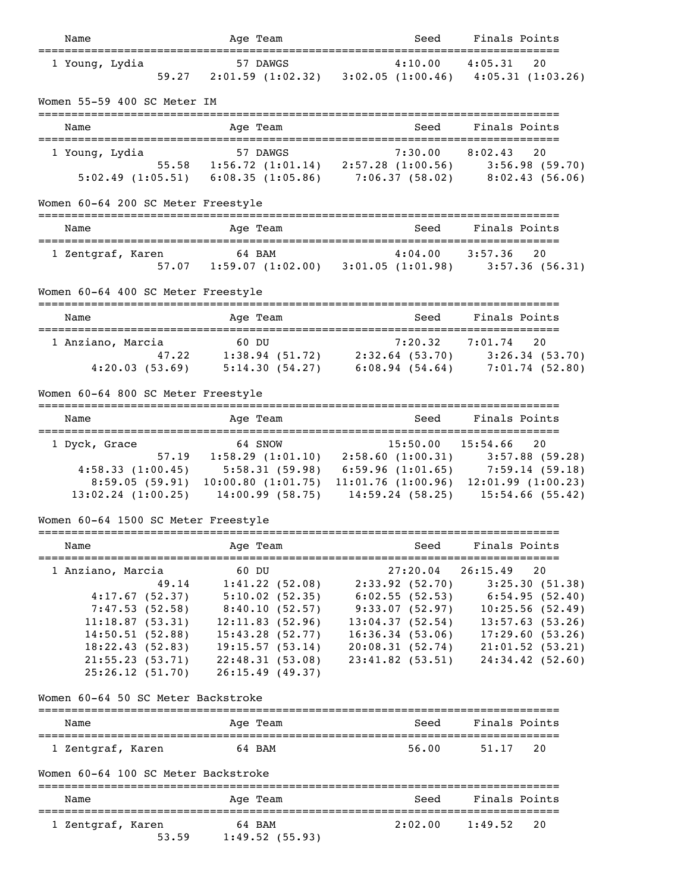| Name                                                               | Age Team                                                                                                                                                                                                           | Seed                | Finals Points                       |
|--------------------------------------------------------------------|--------------------------------------------------------------------------------------------------------------------------------------------------------------------------------------------------------------------|---------------------|-------------------------------------|
| 1 Young, Lydia                                                     | 57 DAWGS<br>59.27 2:01.59 (1:02.32) 3:02.05 (1:00.46) 4:05.31 (1:03.26)                                                                                                                                            |                     |                                     |
| Women 55-59 400 SC Meter IM                                        |                                                                                                                                                                                                                    |                     |                                     |
| =============================<br>Name                              | Age Team                                                                                                                                                                                                           | Seed                | Finals Points                       |
| ==================<br>1 Young, Lydia                               | 57 DAWGS<br>1:30.00 8:02.43 20<br>55.58 55.58 1:56.72 (1:01.14) 2:57.28 (1:00.56) 3:56.98 (59.70)<br>5:02.49 (1:05.51) 6:08.35 (1:05.86) 7:06.37 (58.02) 8:02.43 (56.06)                                           | 7:30.00             | ;=============================      |
|                                                                    |                                                                                                                                                                                                                    |                     |                                     |
| Women 60-64 200 SC Meter Freestyle                                 |                                                                                                                                                                                                                    |                     |                                     |
| Name                                                               | Age Team                                                                                                                                                                                                           | Seed                | Finals Points                       |
| 1 Zentgraf, Karen                                                  | $\begin{array}{ccccccccc} \text{on} & & & & 64 & \text{BAM} & & & 4:04.00 & & 3:57.36 & & 20 \\ 57.07 & & 1:59.07 & (1:02.00) & & 3:01.05 & (1:01.98) & & 3:57.36 & (56.31) \end{array}$                           |                     |                                     |
| Women 60-64 400 SC Meter Freestyle                                 |                                                                                                                                                                                                                    |                     |                                     |
| Name                                                               | Age Team                                                                                                                                                                                                           | Seed                | Finals Points                       |
| 1 Anziano, Marcia                                                  | 60 DU<br>a 60 DU 7:20.32 7:01.74 20<br>47.22 1:38.94 (51.72) 2:32.64 (53.70) 3:26.34 (53.70)<br>4:20.03 (53.69) 5:14.30 (54.27) 6:08.94 (54.64) 7:01.74 (52.80)                                                    | $7:20.32$ $7:01.74$ |                                     |
| Women 60-64 800 SC Meter Freestyle                                 |                                                                                                                                                                                                                    |                     |                                     |
| Name                                                               | Age Team                                                                                                                                                                                                           | Seed                | Finals Points                       |
| 1 Dyck, Grace                                                      |                                                                                                                                                                                                                    | 15:50.00            | 15:54.66 20                         |
|                                                                    | 64 SNOW 15:50.00 15:54.66 20<br>57.19 1:58.29 (1:01.10) 2:58.60 (1:00.31) 3:57.88 (59.28)                                                                                                                          |                     |                                     |
|                                                                    |                                                                                                                                                                                                                    |                     |                                     |
|                                                                    | 4:58.33 (1:00.45) 5:58.31 (59.98) 6:59.96 (1:01.65) 7:59.14 (59.18) 8:59.05 (59.91) 10:00.80 (1:01.75) 11:01.76 (1:00.96) 12:01.99 (1:00.23) 13:02.24 (1:00.25) 14:00.99 (58.75) 14:59.24 (58.25) 15:54.66 (55.42) |                     |                                     |
| Women 60-64 1500 SC Meter Freestyle                                |                                                                                                                                                                                                                    |                     |                                     |
| =========<br>Name                                                  | Age Team                                                                                                                                                                                                           | Seed                | Finals Points                       |
| 1 Anziano, Marcia                                                  | 60 DU                                                                                                                                                                                                              | 27:20.04            | 26:15.49<br>20                      |
| 49.14                                                              | 1:41.22(52.08)                                                                                                                                                                                                     |                     | $2:33.92$ (52.70) $3:25.30$ (51.38) |
| 4:17.67(52.37)                                                     | $5:10.02$ (52.35)                                                                                                                                                                                                  | 6:02.55 (52.53)     | 6:54.95(52.40)                      |
| 7:47.53(52.58)                                                     | 8:40.10(52.57)                                                                                                                                                                                                     | 9:33.07(52.97)      | 10:25.56(52.49)                     |
| 11:18.87(53.31)                                                    | 12:11.83(52.96)                                                                                                                                                                                                    | 13:04.37(52.54)     | 13:57.63(53.26)                     |
| 14:50.51(52.88)                                                    | 15:43.28(52.77)                                                                                                                                                                                                    | 16:36.34(53.06)     | 17:29.60(53.26)                     |
| 18:22.43(52.83)                                                    | 19:15.57(53.14)                                                                                                                                                                                                    | 20:08.31(52.74)     | 21:01.52(53.21)                     |
| 21:55.23(53.71)<br>25:26.12(51.70)                                 | 22:48.31 (53.08)<br>26:15.49(49.37)                                                                                                                                                                                | 23:41.82(53.51)     | 24:34.42(52.60)                     |
| Women 60-64 50 SC Meter Backstroke                                 |                                                                                                                                                                                                                    |                     |                                     |
| Name                                                               | Age Team                                                                                                                                                                                                           | Seed                | Finals Points                       |
| 1 Zentgraf, Karen                                                  | 64 BAM                                                                                                                                                                                                             | 56.00               | 51.17<br>20                         |
| Women 60-64 100 SC Meter Backstroke                                |                                                                                                                                                                                                                    |                     |                                     |
| Name                                                               | Age Team                                                                                                                                                                                                           | Seed                | Finals Points                       |
| ====================================<br>1 Zentgraf, Karen<br>53.59 | 64 BAM<br>1:49.52(55.93)                                                                                                                                                                                           | 2:02.00             | 1:49.52<br>20                       |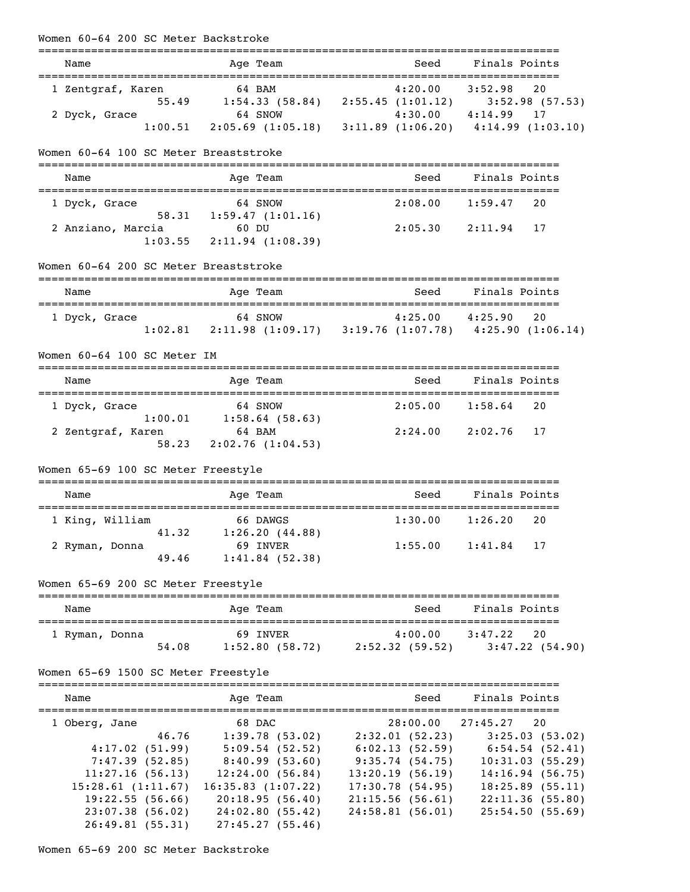| Finals Points                                                                                                                                                                                                                                                                                                     |
|-------------------------------------------------------------------------------------------------------------------------------------------------------------------------------------------------------------------------------------------------------------------------------------------------------------------|
| $\begin{array}{ccccccccc}\n\text{in} & & & 64 & \text{BAM} & & & 4:20.00 & & 3:52.98 & & 20 \\ \text{55.49} & & 1:54.33 & (58.84) & & 2:55.45 & (1:01.12) & & 3:52.98 & (57.53)\n\end{array}$<br>$4:30.00$ $4:14.99$<br>64 SNOW $4:30.00$ $4:14.99$ 17<br>2:05.69 (1:05.18) 3:11.89 (1:06.20) $4:14.99$ (1:03.10) |
|                                                                                                                                                                                                                                                                                                                   |
| Finals Points                                                                                                                                                                                                                                                                                                     |
| 20<br>$2:05.30$ $2:11.94$ 17                                                                                                                                                                                                                                                                                      |
|                                                                                                                                                                                                                                                                                                                   |
| Finals Points                                                                                                                                                                                                                                                                                                     |
| :===================<br>20<br>$1:02.81$ $2:11.98$ $(1:09.17)$ $3:19.76$ $(1:07.78)$ $4:25.90$ $(1:06.14)$                                                                                                                                                                                                         |
|                                                                                                                                                                                                                                                                                                                   |
| Finals Points                                                                                                                                                                                                                                                                                                     |
| 1:58.64<br>20                                                                                                                                                                                                                                                                                                     |
| 17                                                                                                                                                                                                                                                                                                                |
|                                                                                                                                                                                                                                                                                                                   |
| Finals Points                                                                                                                                                                                                                                                                                                     |
| 20                                                                                                                                                                                                                                                                                                                |
| 17                                                                                                                                                                                                                                                                                                                |
|                                                                                                                                                                                                                                                                                                                   |
| Finals Points                                                                                                                                                                                                                                                                                                     |
| 20<br>3:47.22(54.90)                                                                                                                                                                                                                                                                                              |
|                                                                                                                                                                                                                                                                                                                   |
| Finals Points                                                                                                                                                                                                                                                                                                     |
| 20<br>$2:32.01(52.23)$ $3:25.03(53.02)$<br>$6:02.13$ (52.59) $6:54.54$ (52.41)<br>10:31.03(55.29)<br>14:16.94(56.75)<br>18:25.89(55.11)<br>22:11.36(55.80)<br>25:54.50(55.69)                                                                                                                                     |
|                                                                                                                                                                                                                                                                                                                   |

Women 65-69 200 SC Meter Backstroke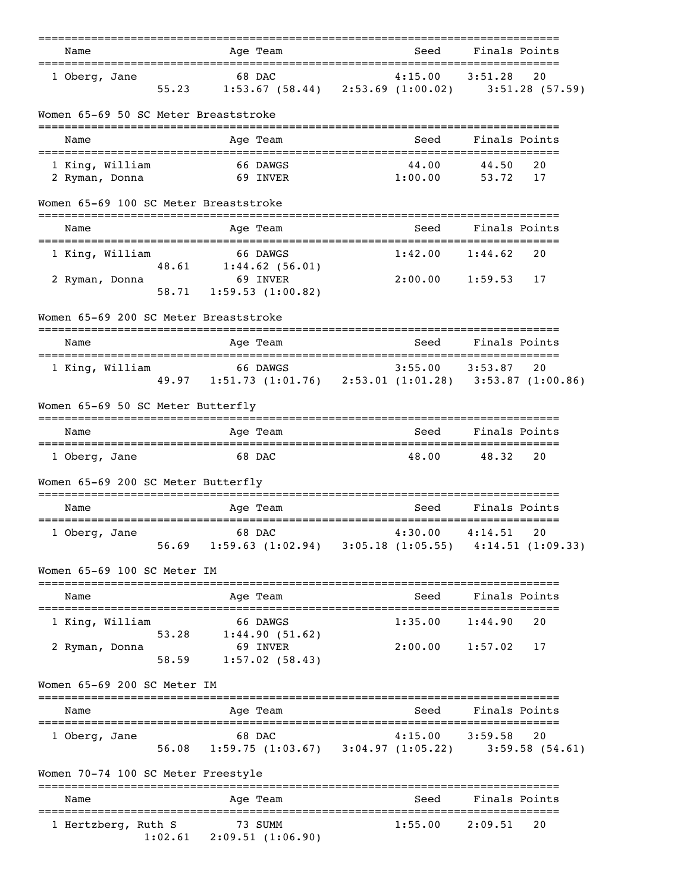| Name                                  |                | Age Team                                                                    | ------------       |                  | _________________________________<br>Seed                                  | Finals Points                    |    |
|---------------------------------------|----------------|-----------------------------------------------------------------------------|--------------------|------------------|----------------------------------------------------------------------------|----------------------------------|----|
| 1 Oberg, Jane                         | 55.23          | 68 DAC                                                                      |                    | ---------------- | 4:15.00<br>1:53.67 (58.44) 2:53.69 (1:00.02) 3:51.28 (57.59)               | ---------<br>3:51.28             | 20 |
| Women 65-69 50 SC Meter Breaststroke  |                |                                                                             |                    |                  |                                                                            |                                  |    |
| Name                                  |                | Age Team                                                                    |                    |                  | Seed                                                                       | Finals Points                    |    |
| 1 King, William<br>2 Ryman, Donna     |                | 66 DAWGS<br>69 INVER                                                        |                    |                  | 44.00<br>1:00.00                                                           | 44.50<br>53.72 17                | 20 |
| Women 65-69 100 SC Meter Breaststroke |                |                                                                             |                    |                  |                                                                            |                                  |    |
| Name                                  |                | Age Team                                                                    |                    |                  | Seed                                                                       | Finals Points                    |    |
| 1 King, William                       |                | 66 DAWGS<br>48.61   1:44.62 (56.01)                                         |                    |                  | 1:42.00                                                                    | 1:44.62                          | 20 |
| 2 Ryman, Donna                        | 58.71          | 69 INVER<br>1:59.53(1:00.82)                                                |                    |                  | 2:00.00                                                                    | $1:59.53$ 17                     |    |
| Women 65-69 200 SC Meter Breaststroke |                |                                                                             |                    |                  |                                                                            |                                  |    |
| Name                                  |                | Age Team                                                                    |                    |                  | Seed                                                                       | Finals Points                    |    |
| 1 King, William                       |                | 66 DAWGS                                                                    |                    |                  | $3:55.00$ $3:53.87$                                                        |                                  |    |
| Women 65-69 50 SC Meter Butterfly     |                |                                                                             |                    |                  |                                                                            |                                  |    |
| Name                                  |                | Age Team                                                                    |                    |                  | Seed                                                                       | Finals Points                    |    |
| 1 Oberg, Jane                         |                | 68 DAC                                                                      |                    |                  | 48.00                                                                      | 48.32                            | 20 |
| Women 65-69 200 SC Meter Butterfly    |                |                                                                             |                    |                  |                                                                            |                                  |    |
| Name                                  |                | Age Team                                                                    |                    |                  | Seed                                                                       | Finals Points                    |    |
| 1 Oberg, Jane                         | 56.69          | 68 DAC<br>$1:59.63$ $(1:02.94)$ $3:05.18$ $(1:05.55)$ $4:14.51$ $(1:09.33)$ |                    |                  | 4:30.00                                                                    | 4:14.51                          | 20 |
| Women 65-69 100 SC Meter IM           |                |                                                                             |                    |                  |                                                                            |                                  |    |
| Name                                  |                | Age Team                                                                    |                    |                  | Seed                                                                       | Finals Points                    |    |
| 1 King, William                       |                | 66 DAWGS                                                                    |                    |                  | 1:35.00                                                                    | 1:44.90                          | 20 |
| 2 Ryman, Donna                        | 53.28<br>58.59 | 1:44.90(51.62)<br>69 INVER                                                  | 1:57.02(58.43)     |                  | 2:00.00                                                                    | 1:57.02                          | 17 |
| Women 65-69 200 SC Meter IM           |                |                                                                             |                    |                  |                                                                            |                                  |    |
| Name                                  |                | Age Team                                                                    |                    |                  | Seed                                                                       | Finals Points                    |    |
| 1 Oberg, Jane                         | 56.08          | 68 DAC                                                                      |                    |                  | 4:15.00<br>$1:59.75$ $(1:03.67)$ $3:04.97$ $(1:05.22)$ $3:59.58$ $(54.61)$ | 3:59.58                          | 20 |
| Women 70-74 100 SC Meter Freestyle    |                |                                                                             |                    |                  |                                                                            |                                  |    |
| Name                                  |                | Age Team                                                                    | ================== |                  | Seed                                                                       | Finals Points                    |    |
| 1 Hertzberg, Ruth S                   | 1:02.61        | 73 SUMM<br>2:09.51 (1:06.90)                                                |                    |                  | 1:55.00                                                                    | =====================<br>2:09.51 | 20 |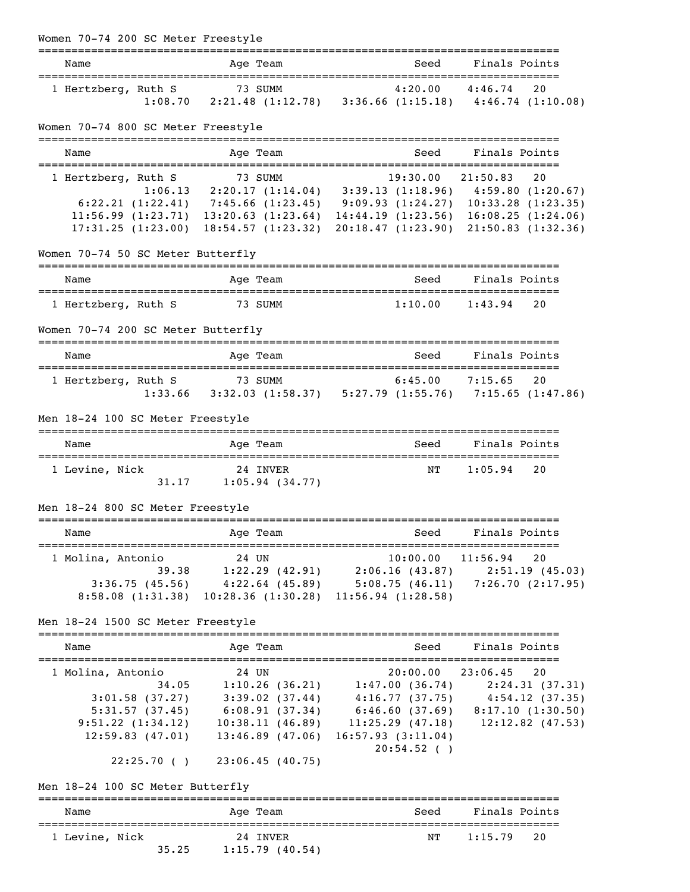| Women 70-74 200 SC Meter Freestyle                     |                                                                                                                                                                                                                                                                                                                                   |                                 |                    |
|--------------------------------------------------------|-----------------------------------------------------------------------------------------------------------------------------------------------------------------------------------------------------------------------------------------------------------------------------------------------------------------------------------|---------------------------------|--------------------|
| Name                                                   | Age Team                                                                                                                                                                                                                                                                                                                          |                                 | Seed Finals Points |
| 1 Hertzberg, Ruth S                                    | uth S<br>1:08.70 2:21.48 (1:12.78) 3:36.66 (1:15.18) 4:46.74 (1:10.08)                                                                                                                                                                                                                                                            |                                 |                    |
| Women 70-74 800 SC Meter Freestyle                     |                                                                                                                                                                                                                                                                                                                                   |                                 |                    |
| Name                                                   | Age Team                                                                                                                                                                                                                                                                                                                          | Seed                            | Finals Points      |
| 1 Hertzberg, Ruth S                                    | Ruth S<br>1:06.13 2:20.17 (1:14.04) 3:39.13 (1:18.96) 4:59.80 (1:20.67)<br>6:22.21 (1:22.41) 7:45.66 (1:23.45) 9:09.93 (1:24.27) 10:33.28 (1:23.35)<br>$11:56.99$ $(1:23.71)$ $13:20.63$ $(1:23.64)$ $14:44.19$ $(1:23.56)$ $16:08.25$ $(1:24.06)$<br>17:31.25 (1:23.00) 18:54.57 (1:23.32) 20:18.47 (1:23.90) 21:50.83 (1:32.36) |                                 |                    |
| Women 70-74 50 SC Meter Butterfly                      |                                                                                                                                                                                                                                                                                                                                   |                                 |                    |
| Name<br>======================================         | Age Team                                                                                                                                                                                                                                                                                                                          |                                 | Seed Finals Points |
| 1 Hertzberg, Ruth S                                    | 73 SUMM                                                                                                                                                                                                                                                                                                                           | 1:10.00                         | 1:43.94<br>20      |
| Women 70-74 200 SC Meter Butterfly                     |                                                                                                                                                                                                                                                                                                                                   |                                 |                    |
| Name                                                   | Age Team                                                                                                                                                                                                                                                                                                                          | Seed                            | Finals Points      |
| 1 Hertzberg, Ruth S                                    | uth S 73 SUMM 6:45.00 7:15.65 20<br>1:33.66 3:32.03 (1:58.37) 5:27.79 (1:55.76) 7:15.65 (1:47.86)                                                                                                                                                                                                                                 |                                 |                    |
| Men 18-24 100 SC Meter Freestyle                       |                                                                                                                                                                                                                                                                                                                                   |                                 |                    |
| Name                                                   | Age Team                                                                                                                                                                                                                                                                                                                          |                                 | Seed Finals Points |
| 1 Levine, Nick                                         | 24 INVER<br>$31.17$ 1:05.94 (34.77)                                                                                                                                                                                                                                                                                               | NT                              | 1:05.94<br>20      |
| Men 18-24 800 SC Meter Freestyle                       |                                                                                                                                                                                                                                                                                                                                   |                                 |                    |
| ================================<br>Name               | ==============<br>Age Team                                                                                                                                                                                                                                                                                                        |                                 | Seed Finals Points |
| 1 Molina, Antonio<br>Men 18-24 1500 SC Meter Freestyle | 24 UN<br>39.38 1:22.29 (42.91) 2:06.16 (43.87) 2:51.19 (45.03)<br>3:36.75 (45.56) 4:22.64 (45.89) 5:08.75 (46.11) 7:26.70 (2:17.95)<br>8:58.08 (1:31.38) 10:28.36 (1:30.28) 11:56.94 (1:28.58)                                                                                                                                    | $10:00.00$ $11:56.94$           | 20                 |
| Name                                                   | Age Team                                                                                                                                                                                                                                                                                                                          | Seed                            | Finals Points      |
| 1 Molina, Antonio                                      | 24 UN<br>31.01.58 (37.27) 329.02 (36.21) 1:47.00 (36.74) 2:24.31 (37.31)<br>5:31.57 (37.45) 6:08.91 (37.34) 6:46.60 (37.69) 8:17.10 (1:30.50)<br>9:51.22 (1:34.12) 10:38.11 (46.89) 11:25.29 (47.18) 12:12.82 (47.53)<br>$12:59.83$ (47.01) $13:46.89$ (47.06) $16:57.93$ (3:11.04)<br>$22:25.70$ () $23:06.45$ (40.75)           | 20:00.00 23:06.45<br>20:54.52() | 20                 |
| Men 18-24 100 SC Meter Butterfly                       |                                                                                                                                                                                                                                                                                                                                   |                                 |                    |
| Name                                                   | Age Team                                                                                                                                                                                                                                                                                                                          | Seed                            | Finals Points      |
| 1 Levine, Nick<br>35.25                                | 24 INVER<br>1:15.79(40.54)                                                                                                                                                                                                                                                                                                        | NΤ                              | 1:15.79<br>20      |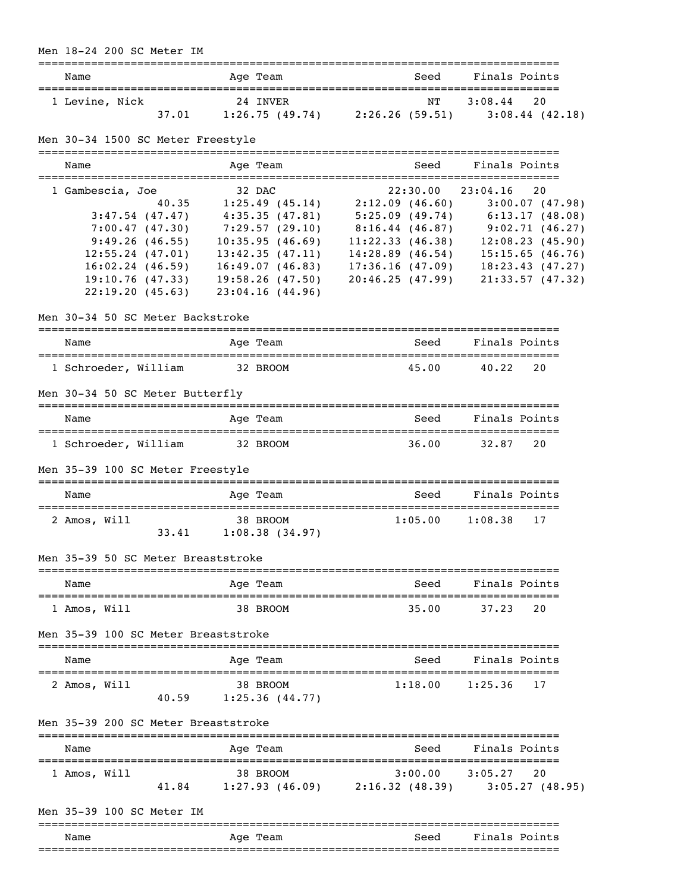#### Men 18-24 200 SC Meter IM

| Name           |       | Age Team                   | Seed                 | Finals Points |                   |
|----------------|-------|----------------------------|----------------------|---------------|-------------------|
| 1 Levine, Nick | 37.01 | 24 INVER<br>1:26.75(49.74) | NT<br>2:26.26(59.51) | 3:08.44 20    | $3:08.44$ (42.18) |

# Men 30-34 1500 SC Meter Freestyle

| Name                 | Age Team           | Seed               | Finals Points            |
|----------------------|--------------------|--------------------|--------------------------|
| 1 Gambescia, Joe     | 32 DAC             |                    | $22:30.00$ $23:04.16$ 20 |
| 40.35                | 1:25.49(45.14)     | 2:12.09(46.60)     | 3:00.07(47.98)           |
| $3:47.54$ (47.47)    | 4:35.35(47.81)     | 5:25.09(49.74)     | 6:13.17(48.08)           |
| 7:00.47(47.30)       | 7:29.57(29.10)     | $8:16.44$ (46.87)  | 9:02.71(46.27)           |
| 9:49.26(46.55)       | 10:35.95(46.69)    | 11:22.33(46.38)    | 12:08.23(45.90)          |
| $12:55.24$ (47.01)   | 13:42.35(47.11)    | $14:28.89$ (46.54) | 15:15.65(46.76)          |
| $16:02.24$ $(46.59)$ | 16:49.07(46.83)    | 17:36.16(47.09)    | 18:23.43(47.27)          |
| 19:10.76(47.33)      | $19:58.26$ (47.50) | 20:46.25(47.99)    | 21:33.57(47.32)          |
| 22:19.20(45.63)      | 23:04.16(44.96)    |                    |                          |

#### Men 30-34 50 SC Meter Backstroke

| Name                            | Age Team | Seed  | Finals Points |    |
|---------------------------------|----------|-------|---------------|----|
| 1 Schroeder, William            | 32 BROOM | 45.00 | 40.22         | 20 |
| Men 30-34 50 SC Meter Butterfly |          |       |               |    |

| Name                 | Age Team | Seed  | Finals Points |
|----------------------|----------|-------|---------------|
| 1 Schroeder, William | 32 BROOM | 36.00 | 20<br>32.87   |

Men 35-39 100 SC Meter Freestyle

| Name         |       | Age Team                   | Seed    | Finals Points |
|--------------|-------|----------------------------|---------|---------------|
| 2 Amos, Will | 33.41 | 38 BROOM<br>1:08.38(34.97) | 1:05.00 | 1:08.38<br>17 |

#### Men 35-39 50 SC Meter Breaststroke

| Name         | Age Team | Seed  | Finals Points |  |
|--------------|----------|-------|---------------|--|
|              |          |       |               |  |
| 1 Amos, Will | 38 BROOM | 35.00 | 37.23<br>- 20 |  |

#### Men 35-39 100 SC Meter Breaststroke

| Name         |       | Age Team                   | Seed    | Finals Points |
|--------------|-------|----------------------------|---------|---------------|
| 2 Amos, Will | 40.59 | 38 BROOM<br>1:25.36(44.77) | 1:18.00 | $1:25.36$ 17  |

#### Men 35-39 200 SC Meter Breaststroke

| Name         |       | Age Team                   | Seed                      | Finals Points                    |
|--------------|-------|----------------------------|---------------------------|----------------------------------|
| 1 Amos, Will | 41.84 | 38 BROOM<br>1:27.93(46.09) | 3:00.00<br>2:16.32(48.39) | 3:05.27<br>2.0<br>3:05.27(48.95) |

Men 35-39 100 SC Meter IM

|      |             | __________________________ |                           |
|------|-------------|----------------------------|---------------------------|
| Name | Age<br>Team | Seed                       | Fina<br>$Point \in$<br>.s |
|      |             | ________________________   | _______________           |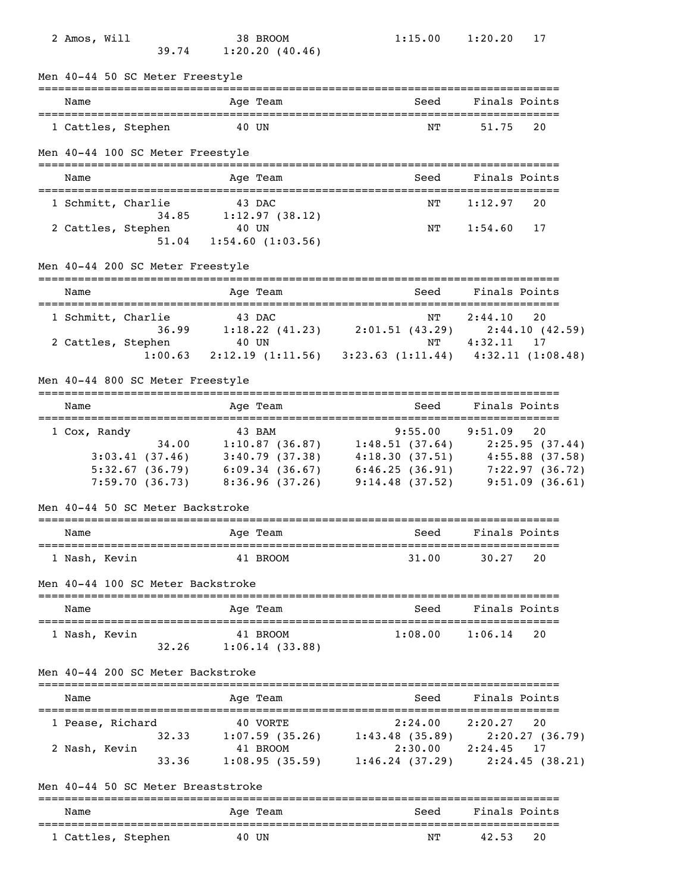| 2 Amos, Will<br>39.74                                     | 38 BROOM<br>1:20.20(40.46)                                                                                                                                                                                                                                               | 1:15.00                                                                                     | 1:20.20<br>17                    |
|-----------------------------------------------------------|--------------------------------------------------------------------------------------------------------------------------------------------------------------------------------------------------------------------------------------------------------------------------|---------------------------------------------------------------------------------------------|----------------------------------|
| Men 40-44 50 SC Meter Freestyle                           |                                                                                                                                                                                                                                                                          |                                                                                             |                                  |
| Name                                                      | =======<br>Age Team                                                                                                                                                                                                                                                      | Seed                                                                                        | Finals Points                    |
| 1 Cattles, Stephen                                        | 40 UN                                                                                                                                                                                                                                                                    | NΤ                                                                                          | 51.75<br>20                      |
| Men 40-44 100 SC Meter Freestyle                          |                                                                                                                                                                                                                                                                          |                                                                                             |                                  |
| Name                                                      | Age Team                                                                                                                                                                                                                                                                 | Seed                                                                                        | Finals Points                    |
| 1 Schmitt, Charlie                                        | 43 DAC<br>34.85 1:12.97 (38.12)                                                                                                                                                                                                                                          | NΤ                                                                                          | 1:12.97<br>20                    |
| 2 Cattles, Stephen                                        | 40 UN<br>$51.04$ $1:54.60$ $(1:03.56)$                                                                                                                                                                                                                                   | ΝT                                                                                          | 1:54.60<br>17                    |
| Men 40-44 200 SC Meter Freestyle                          |                                                                                                                                                                                                                                                                          |                                                                                             |                                  |
| Name<br>=================================                 | Age Team                                                                                                                                                                                                                                                                 | Seed                                                                                        | Finals Points                    |
| 1 Schmitt, Charlie<br>2 Cattles, Stephen 40 UN            | 43 DAC<br>36.99 1:18.22 (41.23) 2:01.51 (43.29) 2:44.10 (42.59)<br>$1:00.63$ 2:12.19 (1:11.56) 3:23.63 (1:11.44) 4:32.11 (1:08.48)                                                                                                                                       | NT                                                                                          | 20<br>2:44.10<br>NT  4:32.11  17 |
| Men 40-44 800 SC Meter Freestyle                          |                                                                                                                                                                                                                                                                          |                                                                                             |                                  |
| Name                                                      | Age Team                                                                                                                                                                                                                                                                 | Seed                                                                                        | Finals Points                    |
| 1 Cox, Randy<br>34.00<br>Men 40-44 50 SC Meter Backstroke | 43 BAM<br>$1:10.87$ (36.87) $1:48.51$ (37.64) $2:25.95$ (37.44)<br>3:03.41 (37.46) 3:40.79 (37.38) 4:18.30 (37.51) 4:55.88 (37.58)<br>5:32.67 (36.79) 6:09.34 (36.67) 6:46.25 (36.91) 7:22.97 (36.72)<br>7:59.70 (36.73) 8:36.96 (37.26) 9:14.48 (37.52) 9:51.09 (36.61) |                                                                                             | $9:55.00$ $9:51.09$<br>20        |
| Name                                                      | Age Team                                                                                                                                                                                                                                                                 | Seed                                                                                        | Finals Points                    |
| 1 Nash, Kevin                                             | 41 BROOM                                                                                                                                                                                                                                                                 | 31.00                                                                                       | 30.27<br>20                      |
| Men 40-44 100 SC Meter Backstroke                         |                                                                                                                                                                                                                                                                          |                                                                                             |                                  |
| Name                                                      | Age Team                                                                                                                                                                                                                                                                 | Seed                                                                                        | Finals Points                    |
| 1 Nash, Kevin<br>32.26                                    | 41 BROOM<br>1:06.14(33.88)                                                                                                                                                                                                                                               | 1:08.00                                                                                     | 20<br>1:06.14                    |
| Men 40-44 200 SC Meter Backstroke                         |                                                                                                                                                                                                                                                                          |                                                                                             |                                  |
| Name                                                      | Age Team                                                                                                                                                                                                                                                                 | Seed                                                                                        | Finals Points                    |
| 1 Pease, Richard<br>2 Nash, Kevin<br>33.36                | 40 VORTE<br>32.33 1:07.59 (35.26) 1:43.48 (35.89) 2:20.27 (36.79)<br>41 BROOM                                                                                                                                                                                            | 2:24.00 2:20.27<br>2:30.00 2:24.45 17<br>$1:08.95(35.59)$ $1:46.24(37.29)$ $2:24.45(38.21)$ | 20                               |
| Men 40-44 50 SC Meter Breaststroke                        |                                                                                                                                                                                                                                                                          |                                                                                             |                                  |
| Name                                                      | Age Team                                                                                                                                                                                                                                                                 | Seed                                                                                        | Finals Points                    |
| 1 Cattles, Stephen                                        | 40 UN                                                                                                                                                                                                                                                                    | NΤ                                                                                          | 20<br>42.53                      |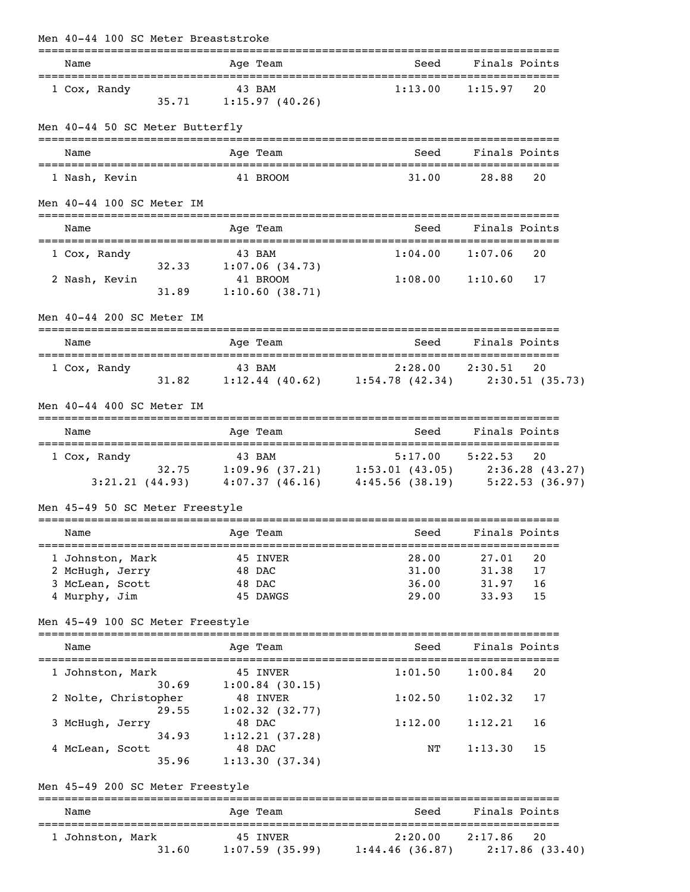| Men 40-44 100 SC Meter Breaststroke                                     |                                                                                                                      |                                                                                                                |                                                          |
|-------------------------------------------------------------------------|----------------------------------------------------------------------------------------------------------------------|----------------------------------------------------------------------------------------------------------------|----------------------------------------------------------|
| ==================================<br>Name                              | Age Team                                                                                                             |                                                                                                                | Seed Finals Points                                       |
| 1 Cox, Randy                                                            | 43 BAM<br>$35.71$ 1:15.97 (40.26)                                                                                    | $1:13.00$ $1:15.97$ 20                                                                                         |                                                          |
| Men 40-44 50 SC Meter Butterfly                                         |                                                                                                                      |                                                                                                                |                                                          |
| Name                                                                    | Age Team                                                                                                             | Seed                                                                                                           | Finals Points                                            |
| 1 Nash, Kevin                                                           | 41 BROOM                                                                                                             | 31.00                                                                                                          | 20<br>28.88                                              |
| Men 40-44 100 SC Meter IM                                               |                                                                                                                      |                                                                                                                |                                                          |
| Name                                                                    | Age Team                                                                                                             | Seed                                                                                                           | Finals Points                                            |
| 1 Cox, Randy                                                            | 43 BAM                                                                                                               |                                                                                                                | $1:04.00$ $1:07.06$<br>20                                |
| 2 Nash, Kevin<br>31.89                                                  | $32.33$ $1:07.06$ (34.73)<br>41 BROOM<br>1:10.60(38.71)                                                              |                                                                                                                | $1:08.00$ $1:10.60$ 17                                   |
| Men 40-44 200 SC Meter IM                                               |                                                                                                                      |                                                                                                                |                                                          |
| Name                                                                    | Age Team                                                                                                             | Seed                                                                                                           | Finals Points                                            |
| 1 Cox, Randy                                                            | 43 BAM<br>2:28.00 2:30.51 20<br>31.82 1:12.44 (40.62) 1:54.78 (42.34) 2:30.51 (35.73)                                |                                                                                                                |                                                          |
| Men 40-44 400 SC Meter IM                                               |                                                                                                                      |                                                                                                                |                                                          |
| Name                                                                    | Age Team                                                                                                             | Seed                                                                                                           | Finals Points                                            |
| 1 Cox, Randy                                                            | Randy<br>32.75 1:09.96 (37.21) 5:17.00 5:22.53 20<br>3:21.21 (44.93) 4:07.37 (46.16) 4:45.56 (38.19) 5:22.53 (36.97) |                                                                                                                |                                                          |
| Men 45-49 50 SC Meter Freestyle                                         |                                                                                                                      |                                                                                                                |                                                          |
| Name                                                                    | Age Team                                                                                                             | in the Seed Seed Seed Seed Seed Sections and Section Section Section Section Section Section Section Section S | Finals Points                                            |
| 1 Johnston, Mark<br>2 McHugh, Jerry<br>3 McLean, Scott<br>4 Murphy, Jim | 45 INVER<br>48 DAC<br>48 DAC<br>45 DAWGS                                                                             | 28.00<br>31.00<br>36.00<br>29.00                                                                               | 20<br>27.01<br>31.38<br>17<br>31.97<br>16<br>33.93<br>15 |
| Men 45-49 100 SC Meter Freestyle                                        |                                                                                                                      |                                                                                                                |                                                          |
| Name                                                                    | Age Team                                                                                                             | Seed                                                                                                           | Finals Points                                            |
| 1 Johnston, Mark                                                        | 45 INVER                                                                                                             | 1:01.50                                                                                                        | 1:00.84<br>20                                            |
| 2 Nolte, Christopher                                                    | $30.69$ $1:00.84$ (30.15)<br>48 INVER                                                                                | 1:02.50                                                                                                        | 1:02.32<br>17                                            |
| 29.55<br>3 McHugh, Jerry                                                | $1:02.32$ $(32.77)$<br>48 DAC                                                                                        | 1:12.00                                                                                                        | 1:12.21<br>16                                            |
| 4 McLean, Scott<br>35.96                                                | 34.93 1:12.21 (37.28)<br>48 DAC<br>1:13.30(37.34)                                                                    | NΤ                                                                                                             | 1:13.30<br>15                                            |
| Men 45-49 200 SC Meter Freestyle                                        |                                                                                                                      |                                                                                                                |                                                          |
| Name                                                                    | Age Team                                                                                                             | Seed                                                                                                           | Finals Points                                            |
| 1 Johnston, Mark<br>31.60                                               | 45 INVER<br>$1:07.59$ (35.99) $1:44.46$ (36.87) $2:17.86$ (33.40)                                                    | 2:20.00                                                                                                        | 2:17.86<br>20                                            |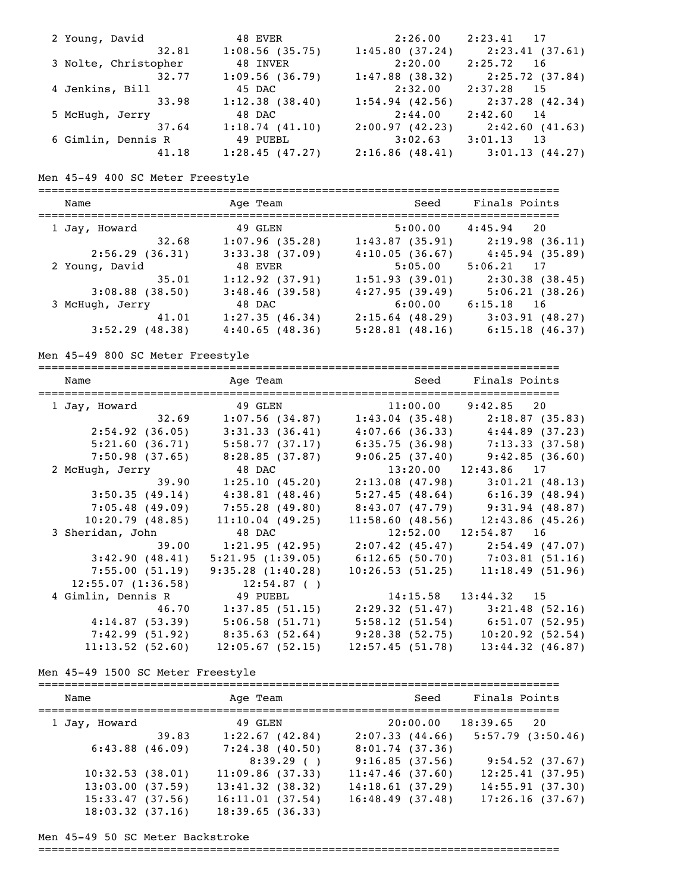| 2 Young, David       | 48 EVER           | 2:26.00        | $2:23.41$ 17    |
|----------------------|-------------------|----------------|-----------------|
| 32.81                | $1:08.56$ (35.75) | 1:45.80(37.24) | 2:23.41(37.61)  |
| 3 Nolte, Christopher | 48 INVER          | 2:20.00        | 2:25.72 16      |
| 32.77                | 1:09.56(36.79)    | 1:47.88(38.32) | 2:25.72 (37.84) |
| 4 Jenkins, Bill      | 45 DAC            | 2:32.00        | $2:37.28$ 15    |
| 33.98                | 1:12.38(38.40)    | 1:54.94(42.56) | 2:37.28 (42.34) |
| 5 McHugh, Jerry      | 48 DAC            | 2:44.00        | $2:42.60$ 14    |
| 37.64                | 1:18.74(41.10)    | 2:00.97(42.23) | 2:42.60(41.63)  |
| 6 Gimlin, Dennis R   | 49 PUEBL          | 3:02.63        | $3:01.13$ 13    |
| 41.18                | 1:28.45(47.27)    | 2:16.86(48.41) | 3:01.13(44.27)  |

Men 45-49 400 SC Meter Freestyle

=============================================================================== Name and Age Team and Seed Finals Points =============================================================================== 1 Jay, Howard 49 GLEN 5:00.00 4:45.94 20 32.68 1:07.96 (35.28) 1:43.87 (35.91) 2:19.98 (36.11) 2:56.29 (36.31) 3:33.38 (37.09) 4:10.05 (36.67) 4:45.94 (35.89) 2 Young, David 48 EVER 5:05.00 5:06.21 17 35.01 1:12.92 (37.91) 1:51.93 (39.01) 2:30.38 (38.45) 3:08.88 (38.50) 3:48.46 (39.58) 4:27.95 (39.49) 5:06.21 (38.26) 3 McHugh, Jerry 48 DAC 6:00.00 6:15.18 16 41.01 1:27.35 (46.34) 2:15.64 (48.29) 3:03.91 (48.27) 3:52.29 (48.38) 4:40.65 (48.36) 5:28.81 (48.16) 6:15.18 (46.37)

Men 45-49 800 SC Meter Freestyle

| Name               |                | Age Team Seed                                         |                 | Finals Points                         |
|--------------------|----------------|-------------------------------------------------------|-----------------|---------------------------------------|
| 1 Jay, Howard      |                | 49 GLEN 11:00.00 9:42.85 20                           |                 |                                       |
|                    | 32.69          | $1:07.56$ (34.87)                                     |                 | $1:43.04$ (35.48) $2:18.87$ (35.83)   |
| 2:54.92(36.05)     |                | 3:31.33(36.41)                                        |                 | $4:07.66$ (36.33) $4:44.89$ (37.23)   |
|                    | 5:21.60(36.71) | 5:58.77 (37.17)                                       |                 | $6:35.75(36.98)$ 7:13.33 (37.58)      |
|                    | 7:50.98(37.65) | 8:28.85 (37.87)                                       |                 | $9:06.25(37.40)$ $9:42.85(36.60)$     |
| 2 McHugh, Jerry    |                | 48 DAC                                                |                 | $13:20.00$ $12:43.86$ 17              |
|                    | 39.90          | 1:25.10(45.20)                                        |                 | $2:13.08$ (47.98) $3:01.21$ (48.13)   |
| 3:50.35(49.14)     |                | 4:38.81(48.46)                                        |                 | $5:27.45$ (48.64) 6:16.39 (48.94)     |
| 7:05.48(49.09)     |                | 7:55.28 (49.80)                                       |                 | $8:43.07$ (47.79) 9:31.94 (48.87)     |
| 10:20.79(48.85)    |                | 11:10.04(49.25)                                       |                 | $11:58.60$ (48.56) $12:43.86$ (45.26) |
| 3 Sheridan, John   |                | 48 DAC                                                |                 | $12:52.00$ $12:54.87$ 16              |
|                    | 39.00          | 1:21.95(42.95)                                        |                 | $2:07.42$ (45.47) $2:54.49$ (47.07)   |
| 3:42.90(48.41)     |                | 5:21.95(1:39.05)                                      |                 | $6:12.65$ (50.70) 7:03.81 (51.16)     |
| 7:55.00(51.19)     |                | 9:35.28(1:40.28)                                      |                 | 10:26.53(51.25)11:18.49(51.96)        |
| 12:55.07(1:36.58)  |                | 12:54.87(                                             |                 |                                       |
| 4 Gimlin, Dennis R |                | 49 PUEBL                                              |                 | $14:15.58$ $13:44.32$ 15              |
|                    |                | 46.70 1:37.85 (51.15) 2:29.32 (51.47) 3:21.48 (52.16) |                 |                                       |
| 4:14.87(53.39)     |                | 5:06.58(51.71)                                        |                 | $5:58.12$ (51.54) 6:51.07 (52.95)     |
|                    |                | $7:42.99(51.92)$ $8:35.63(52.64)$                     | 9:28.38(52.75)  | 10:20.92(52.54)                       |
| 11:13.52(52.60)    |                | 12:05.67(52.15)                                       | 12:57.45(51.78) | $13:44.32$ $(46.87)$                  |

Men 45-49 1500 SC Meter Freestyle

| Name                 |       | Age Team           | Seed            | Finals Points         |
|----------------------|-------|--------------------|-----------------|-----------------------|
| 1 Jay, Howard        |       | 49 GLEN            | 20:00.00        | 18:39.65<br>2.0       |
|                      | 39.83 | 1:22.67(42.84)     | 2:07.33(44.66)  | $5:57.79$ $(3:50.46)$ |
| $6:43.88$ $(46.09)$  |       | $7:24.38$ (40.50)  | 8:01.74(37.36)  |                       |
|                      |       | 8:39.29()          | 9:16.85(37.56)  | 9:54.52(37.67)        |
| 10:32.53(38.01)      |       | 11:09.86(37.33)    | 11:47.46(37.60) | 12:25.41(37.95)       |
| 13:03.00(37.59)      |       | $13:41.32$ (38.32) | 14:18.61(37.29) | 14:55.91(37.30)       |
| 15:33.47(37.56)      |       | 16:11.01(37.54)    | 16:48.49(37.48) | 17:26.16(37.67)       |
| $18:03.32$ $(37.16)$ |       | 18:39.65(36.33)    |                 |                       |

Men 45-49 50 SC Meter Backstroke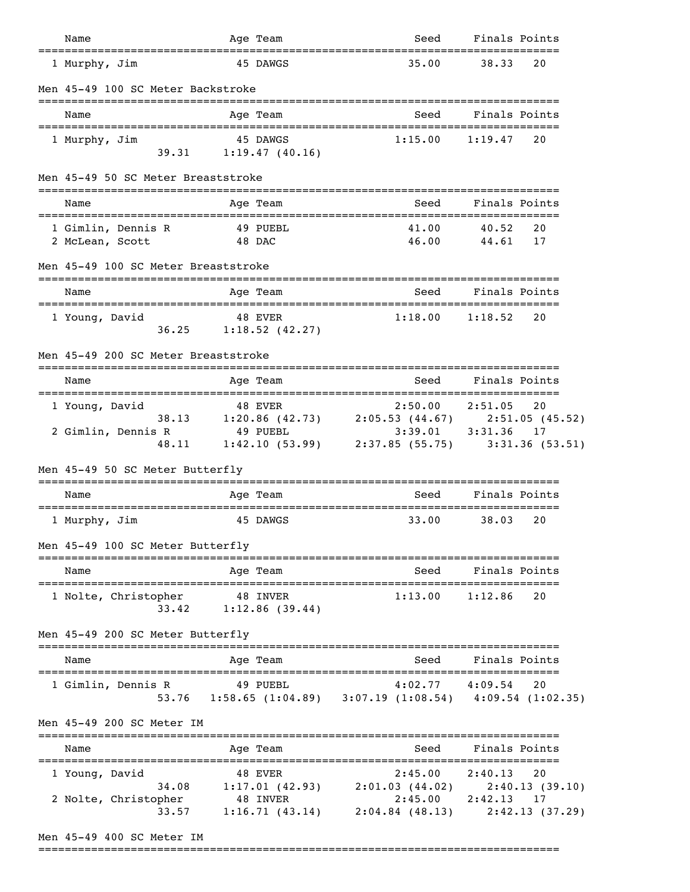| Name                                                     | Age Team                                                                       | Seed                                                                                            | Finals Points                                                       |
|----------------------------------------------------------|--------------------------------------------------------------------------------|-------------------------------------------------------------------------------------------------|---------------------------------------------------------------------|
| 1 Murphy, Jim                                            | 45 DAWGS                                                                       | 35.00                                                                                           | 38.33<br>20                                                         |
| Men 45-49 100 SC Meter Backstroke                        |                                                                                |                                                                                                 |                                                                     |
| Name                                                     | Age Team                                                                       | Seed                                                                                            | Finals Points                                                       |
| 1 Murphy, Jim<br>39.31                                   | 45 DAWGS<br>1:19.47(40.16)                                                     | 1:15.00                                                                                         | 1:19.47<br>20                                                       |
| Men 45-49 50 SC Meter Breaststroke                       |                                                                                |                                                                                                 |                                                                     |
| Name                                                     | Age Team                                                                       | Seed                                                                                            | Finals Points                                                       |
| 1 Gimlin, Dennis R<br>2 McLean, Scott                    | 49 PUEBL<br>48 DAC                                                             | 41.00<br>46.00                                                                                  | 20<br>40.52<br>44.61<br>17                                          |
| Men 45-49 100 SC Meter Breaststroke                      |                                                                                |                                                                                                 |                                                                     |
| Name                                                     | Age Team                                                                       | Seed                                                                                            | Finals Points                                                       |
| 1 Young, David<br>36.25                                  | 48 EVER<br>$1:18.52$ (42.27)                                                   | 1:18.00                                                                                         | 1:18.52<br>20                                                       |
| Men 45-49 200 SC Meter Breaststroke                      |                                                                                |                                                                                                 |                                                                     |
| Name                                                     | Age Team                                                                       | Seed                                                                                            | Finals Points                                                       |
| 1 Young, David<br>38.13                                  | 48 EVER<br>1:20.86 (42.73) 2:05.53 (44.67) 2:51.05 (45.52)                     | 2:50.00                                                                                         | 2:51.05<br>20                                                       |
| 2 Gimlin, Dennis R<br>48.11                              | 49 PUEBL 3:39.01 3:31.36 17<br>1:42.10 (53.99) 2:37.85 (55.75) 3:31.36 (53.51) |                                                                                                 |                                                                     |
| Men 45-49 50 SC Meter Butterfly                          | ============================                                                   |                                                                                                 |                                                                     |
| Name                                                     | Age Team                                                                       | Seed<br>===========                                                                             | Finals Points                                                       |
| 1 Murphy, Jim                                            | 45 DAWGS                                                                       | 33.00                                                                                           | 38.03<br>20                                                         |
| Men 45-49 100 SC Meter Butterfly                         |                                                                                |                                                                                                 |                                                                     |
| Name                                                     | Age Team                                                                       | Seed                                                                                            | Finals Points                                                       |
| 1 Nolte, Christopher<br>33.42                            | 48 INVER<br>1:12.86(39.44)                                                     | 1:13.00                                                                                         | 20<br>1:12.86                                                       |
| Men 45-49 200 SC Meter Butterfly                         |                                                                                |                                                                                                 |                                                                     |
| Name                                                     | Age Team                                                                       | Seed                                                                                            | Finals Points                                                       |
| 1 Gimlin, Dennis R                                       | 49 PUEBL<br>53.76 1:58.65 (1:04.89) 3:07.19 (1:08.54) 4:09.54 (1:02.35)        |                                                                                                 | $4:02.77$ $4:09.54$<br>20                                           |
| Men 45-49 200 SC Meter IM                                |                                                                                |                                                                                                 |                                                                     |
| Name                                                     | Age Team                                                                       |                                                                                                 | Seed Finals Points                                                  |
| 1 Young, David<br>34.08<br>2 Nolte, Christopher<br>33.57 | 48 EVER<br>48 INVER                                                            | $2:45.00$ $2:40.13$<br>$1:17.01$ (42.93) $2:01.03$ (44.02)<br>$1:16.71(43.14)$ $2:04.84(48.13)$ | 20<br>2:40.13(39.10)<br>$2:45.00$ $2:42.13$<br>17<br>2:42.13(37.29) |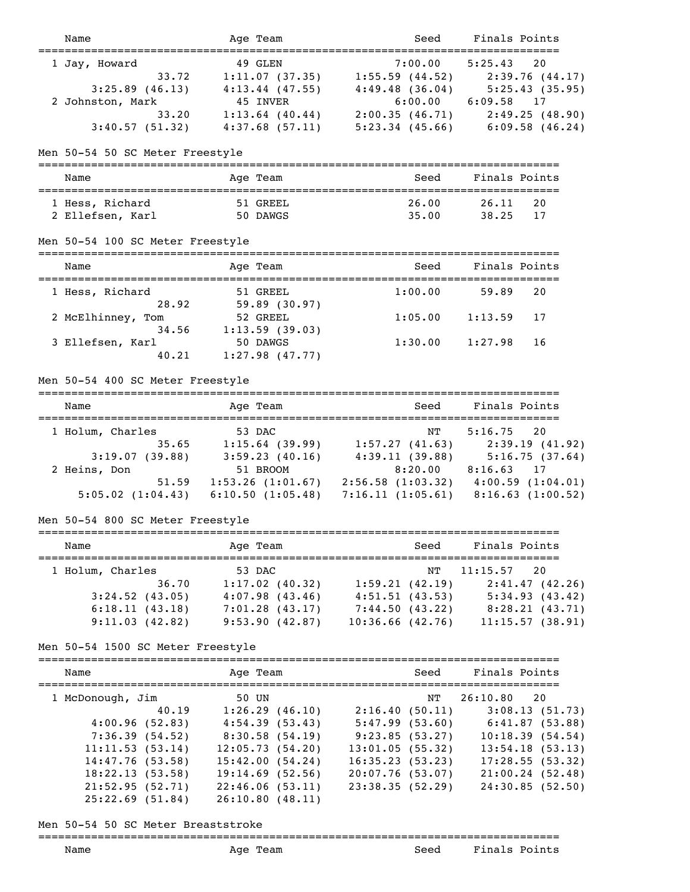| Name                                                                                                                                                          | Age Team                                                                                                                                                       | Seed                                                                                                                                 | Finals Points                                                                                                                                                                             |
|---------------------------------------------------------------------------------------------------------------------------------------------------------------|----------------------------------------------------------------------------------------------------------------------------------------------------------------|--------------------------------------------------------------------------------------------------------------------------------------|-------------------------------------------------------------------------------------------------------------------------------------------------------------------------------------------|
| 1 Jay, Howard<br>33.72<br>$3:25.89$ (46.13)<br>2 Johnston, Mark<br>33.20<br>3:40.57(51.32)                                                                    | 49 GLEN<br>1:11.07(37.35)<br>$4:13.44$ (47.55)<br>45 INVER<br>$1:13.64$ (40.44)<br>4:37.68(57.11)                                                              | 7:00.00                                                                                                                              | 5:25.43<br>20<br>$1:55.59$ (44.52) 2:39.76 (44.17)<br>$4:49.48$ (36.04) $5:25.43$ (35.95)<br>$6:00.00$ $6:09.58$ 17<br>2:00.35 (46.71) 2:49.25 (48.90)<br>5:23.34 (45.66) 6:09.58 (46.24) |
| Men 50-54 50 SC Meter Freestyle<br>===============================                                                                                            | -----------------------                                                                                                                                        |                                                                                                                                      |                                                                                                                                                                                           |
| Name<br>------------------------                                                                                                                              | Age Team<br>===================                                                                                                                                | Seed                                                                                                                                 | =============================<br>Finals Points<br>===============================                                                                                                         |
| 1 Hess, Richard<br>2 Ellefsen, Karl                                                                                                                           | 51 GREEL<br>50 DAWGS                                                                                                                                           | 26.00<br>35.00                                                                                                                       | 26.11<br>20<br>38.25<br>17                                                                                                                                                                |
| Men 50-54 100 SC Meter Freestyle                                                                                                                              |                                                                                                                                                                |                                                                                                                                      |                                                                                                                                                                                           |
| Name                                                                                                                                                          | Age Team                                                                                                                                                       | Seed                                                                                                                                 | Finals Points                                                                                                                                                                             |
| 1 Hess, Richard<br>28.92<br>2 McElhinney, Tom                                                                                                                 | 51 GREEL<br>59.89 (30.97)<br>52 GREEL                                                                                                                          | 1:00.00<br>1:05.00                                                                                                                   | 59.89<br>20<br>1:13.59<br>17                                                                                                                                                              |
| 34.56<br>3 Ellefsen, Karl<br>40.21                                                                                                                            | 1:13.59(39.03)<br>50 DAWGS<br>$1:27.98$ (47.77)                                                                                                                | 1:30.00                                                                                                                              | 1:27.98<br>16                                                                                                                                                                             |
| Men 50-54 400 SC Meter Freestyle                                                                                                                              |                                                                                                                                                                |                                                                                                                                      |                                                                                                                                                                                           |
| Name                                                                                                                                                          | Age Team                                                                                                                                                       | Seed                                                                                                                                 | Finals Points                                                                                                                                                                             |
| 1 Holum, Charles<br>3:19.07(39.88)                                                                                                                            | 53 DAC<br>35.65 1:15.64 (39.99) 1:57.27 (41.63) 2:39.19 (41.92)<br>$3:59.23(40.16)$ $4:39.11(39.88)$ $5:16.75(37.64)$                                          | NΤ                                                                                                                                   | 5:16.75<br>20                                                                                                                                                                             |
| 2 Heins, Don                                                                                                                                                  | 51 BROOM<br>51.59   1:53.26   (1:01.67)   2:56.58   (1:03.32)   4:00.59   (1:04.01)<br>5:05.02 (1:04.43) 6:10.50 (1:05.48) 7:16.11 (1:05.61) 8:16.63 (1:00.52) |                                                                                                                                      | 8:20.00 8:16.63 17                                                                                                                                                                        |
| Men 50-54 800 SC Meter Freestyle                                                                                                                              |                                                                                                                                                                |                                                                                                                                      |                                                                                                                                                                                           |
| Name                                                                                                                                                          | Age Team                                                                                                                                                       | Seed                                                                                                                                 | Finals Points                                                                                                                                                                             |
| 1 Holum, Charles<br>36.70<br>$3:24.52$ (43.05)<br>6:18.11(43.18)<br>9:11.03(42.82)                                                                            | 53 DAC<br>1:17.02(40.32)<br>4:07.98(43.46)<br>7:01.28(43.17)<br>9:53.90(42.87)                                                                                 | NΤ<br>1:59.21(42.19)<br>4:51.51(43.53)<br>7:44.50 (43.22)<br>10:36.66(42.76)                                                         | ============<br>20<br>11:15.57<br>2:41.47(42.26)<br>5:34.93(43.42)<br>8:28.21 (43.71)<br>11:15.57(38.91)                                                                                  |
| Men 50-54 1500 SC Meter Freestyle                                                                                                                             |                                                                                                                                                                |                                                                                                                                      |                                                                                                                                                                                           |
| --------------------<br>Name                                                                                                                                  | Age Team                                                                                                                                                       | Seed                                                                                                                                 | Finals Points                                                                                                                                                                             |
| 1 McDonough, Jim<br>40.19<br>4:00.96(52.83)<br>7:36.39(54.52)<br>11:11.53(53.14)<br>14:47.76 (53.58)<br>18:22.13(53.58)<br>21:52.95(52.71)<br>25:22.69(51.84) | 50 UN<br>1:26.29(46.10)<br>4:54.39(53.43)<br>8:30.58(54.19)<br>12:05.73(54.20)<br>15:42.00(54.24)<br>$19:14.69$ (52.56)<br>22:46.06(53.11)<br>26:10.80(48.11)  | NT<br>2:16.40(50.11)<br>5:47.99(53.60)<br>9:23.85(53.27)<br>13:01.05(55.32)<br>16:35.23(53.23)<br>20:07.76(53.07)<br>23:38.35(52.29) | =========<br>26:10.80<br>20<br>3:08.13(51.73)<br>6:41.87(53.88)<br>10:18.39(54.54)<br>13:54.18(53.13)<br>17:28.55(53.32)<br>21:00.24(52.48)<br>24:30.85(52.50)                            |

# Men 50-54 50 SC Meter Breaststroke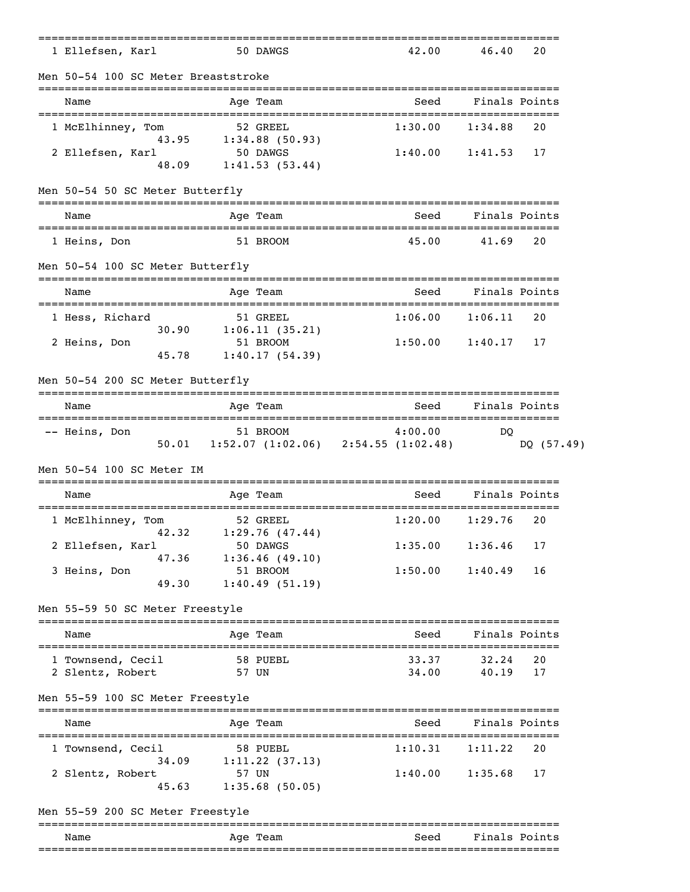| _____________________________                |       | ------------                                    |                                                      | ------------------------         |               |
|----------------------------------------------|-------|-------------------------------------------------|------------------------------------------------------|----------------------------------|---------------|
| 1 Ellefsen, Karl                             |       | 50 DAWGS                                        |                                                      | 42.00<br>46.40                   | 20            |
| Men 50-54 100 SC Meter Breaststroke          |       |                                                 |                                                      |                                  |               |
| Name                                         |       | Age Team                                        |                                                      | Seed                             | Finals Points |
| 1 McElhinney, Tom<br>43.95                   |       | 52 GREEL                                        | 1:30.00                                              | 1:34.88                          | 20            |
| 2 Ellefsen, Karl<br>48.09                    |       | $1:34.88$ (50.93)<br>50 DAWGS<br>1:41.53(53.44) | 1:40.00                                              | 1:41.53                          | 17            |
| Men 50-54 50 SC Meter Butterfly              |       |                                                 |                                                      |                                  |               |
| Name                                         |       | Age Team                                        |                                                      | Seed                             | Finals Points |
| 1 Heins, Don                                 |       | 51 BROOM                                        |                                                      | 45.00<br>41.69                   | 20            |
| Men 50-54 100 SC Meter Butterfly             |       |                                                 |                                                      |                                  |               |
| Name<br>------------------------------------ |       | Age Team                                        |                                                      | Seed                             | Finals Points |
| 1 Hess, Richard<br>30.90                     |       | 51 GREEL<br>1:06.11(35.21)                      | 1:06.00                                              | 1:06.11                          | 20            |
| 2 Heins, Don<br>45.78                        |       | 51 BROOM<br>1:40.17(54.39)                      | 1:50.00                                              | 1:40.17                          | 17            |
| Men 50-54 200 SC Meter Butterfly             |       |                                                 |                                                      |                                  |               |
| Name                                         |       | Age Team                                        |                                                      | Seed                             | Finals Points |
| -- Heins, Don                                |       | 51 BROOM                                        | 4:00.00<br>50.01 1:52.07 (1:02.06) 2:54.55 (1:02.48) | DO                               | DQ (57.49)    |
| Men 50-54 100 SC Meter IM                    |       |                                                 |                                                      |                                  |               |
| Name                                         |       | Age Team                                        |                                                      | Seed                             | Finals Points |
| 1 McElhinney, Tom<br>42.32                   |       | 52 GREEL<br>1:29.76(47.44)                      | 1:20.00                                              | 1:29.76                          | 20            |
| 2 Ellefsen, Karl<br>47.36                    |       | 50 DAWGS<br>1:36.46(49.10)                      | 1:35.00                                              | 1:36.46                          | 17            |
| 3 Heins, Don<br>49.30                        |       | 51 BROOM<br>1:40.49(51.19)                      | 1:50.00                                              | 1:40.49                          | 16            |
| Men 55-59 50 SC Meter Freestyle              |       |                                                 |                                                      |                                  |               |
| Name                                         |       | Age Team                                        |                                                      | Seed                             | Finals Points |
| 1 Townsend, Cecil<br>2 Slentz, Robert        | 57 UN | 58 PUEBL                                        |                                                      | 33.37<br>32.24<br>34.00<br>40.19 | 20<br>17      |
| Men 55-59 100 SC Meter Freestyle             |       |                                                 |                                                      |                                  |               |
| Name                                         |       | Age Team                                        |                                                      | Seed                             | Finals Points |
| 1 Townsend, Cecil<br>34.09                   |       | 58 PUEBL<br>1:11.22(37.13)                      | 1:10.31                                              | 1:11.22                          | 20            |
| 2 Slentz, Robert                             | 57 UN |                                                 | 1:40.00                                              | 1:35.68                          | 17            |
| 45.63                                        |       | 1:35.68(50.05)                                  |                                                      |                                  |               |
| Men 55-59 200 SC Meter Freestyle             |       |                                                 |                                                      |                                  |               |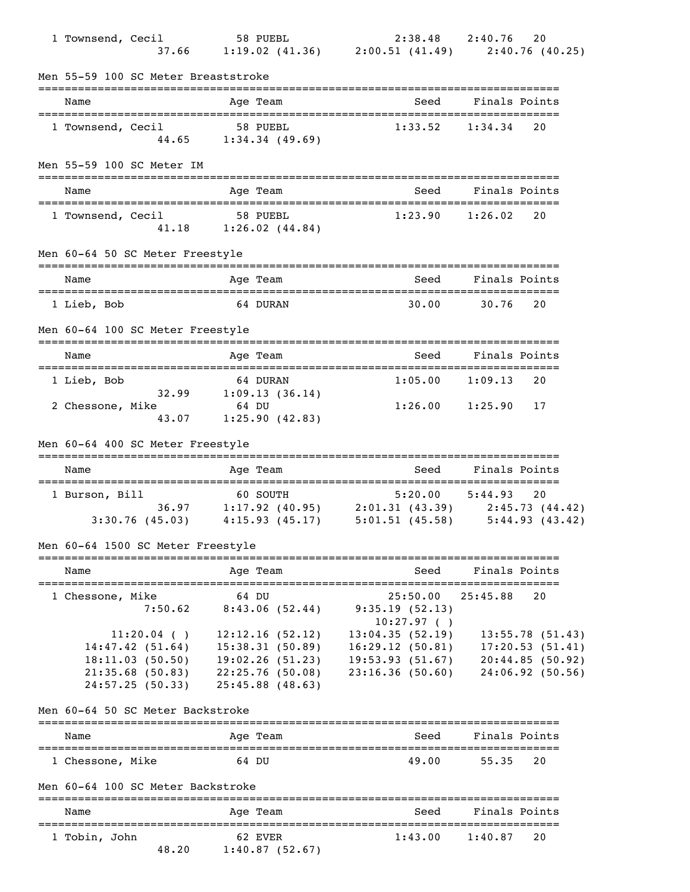| 1 Townsend, Cecil |                                                                       |          |                                         | 1 58 PUEBL 2:38.48 2:40.76 20<br>37.66 1:19.02 (41.36) 2:00.51 (41.49) 2:40.76 (40.25) |                                    |
|-------------------|-----------------------------------------------------------------------|----------|-----------------------------------------|----------------------------------------------------------------------------------------|------------------------------------|
|                   | Men 55-59 100 SC Meter Breaststroke                                   |          |                                         |                                                                                        |                                    |
| Name              |                                                                       |          | Age Team                                | Seed                                                                                   | Finals Points                      |
| 1 Townsend, Cecil |                                                                       | 58 PUEBL | 44.65 1:34.34 (49.69)                   | 1:33.52                                                                                | 1:34.34<br>20                      |
|                   | Men 55-59 100 SC Meter IM                                             |          |                                         |                                                                                        |                                    |
| Name              |                                                                       |          | Age Team                                | Seed                                                                                   | Finals Points                      |
| 1 Townsend, Cecil |                                                                       | 58 PUEBL | 41.18 1:26.02 (44.84)                   | 1:23.90                                                                                | 1:26.02<br>20                      |
|                   | Men 60-64 50 SC Meter Freestyle                                       |          |                                         |                                                                                        |                                    |
| Name              | ==================================                                    |          | Age Team                                | Seed                                                                                   | Finals Points                      |
| 1 Lieb, Bob       |                                                                       |          | 64 DURAN                                | 30.00                                                                                  | 30.76<br>20                        |
|                   | Men 60-64 100 SC Meter Freestyle                                      |          |                                         |                                                                                        |                                    |
| Name              |                                                                       |          | Age Team                                | Seed                                                                                   | Finals Points                      |
| 1 Lieb, Bob       |                                                                       |          | 64 DURAN<br>$32.99$ $1:09.13$ $(36.14)$ |                                                                                        | $1:05.00$ $1:09.13$<br>20          |
| 2 Chessone, Mike  | 43.07                                                                 | 64 DU    | 1:25.90(42.83)                          | $1:26.00$ $1:25.90$                                                                    | 17                                 |
|                   | Men 60-64 400 SC Meter Freestyle                                      |          |                                         |                                                                                        |                                    |
| Name              |                                                                       |          | Age Team                                | Seed                                                                                   | Finals Points                      |
| 1 Burson, Bill    |                                                                       | 60 SOUTH |                                         | $5:20.00$ $5:44.93$<br>36.97 1:17.92 (40.95) 2:01.31 (43.39) 2:45.73 (44.42)           | 20                                 |
|                   |                                                                       |          |                                         | 3:30.76 (45.03) 4:15.93 (45.17) 5:01.51 (45.58) 5:44.93 (43.42)                        |                                    |
|                   | Men 60-64 1500 SC Meter Freestyle<br>================================ |          | ==========                              |                                                                                        |                                    |
| Name              |                                                                       |          | Age Team                                | Seed                                                                                   | Finals Points                      |
| 1 Chessone, Mike  | 7:50.62                                                               | 64 DU    | 8:43.06(52.44)                          | 25:50.00<br>9:35.19(52.13)<br>10:27.97()                                               | 25:45.88<br>20                     |
|                   | $11:20.04$ ()<br>14:47.42(51.64)                                      |          | 12:12.16(52.12)<br>15:38.31(50.89)      | 13:04.35(52.19)<br>16:29.12(50.81)                                                     | 13:55.78(51.43)<br>17:20.53(51.41) |
|                   | 18:11.03(50.50)                                                       |          | 19:02.26(51.23)                         | 19:53.93(51.67)                                                                        | 20:44.85(50.92)                    |
|                   | 21:35.68(50.83)<br>24:57.25(50.33)                                    |          | 22:25.76(50.08)<br>$25:45.88$ (48.63)   | 23:16.36(50.60)                                                                        | 24:06.92(50.56)                    |
|                   | Men 60-64 50 SC Meter Backstroke                                      |          |                                         |                                                                                        |                                    |
| Name              |                                                                       |          | Age Team                                | Seed                                                                                   | Finals Points                      |
| 1 Chessone, Mike  |                                                                       | 64 DU    |                                         | 49.00                                                                                  | 55.35<br>20                        |
|                   | Men 60-64 100 SC Meter Backstroke                                     |          |                                         |                                                                                        |                                    |
| Name              |                                                                       |          | Age Team                                | Seed                                                                                   | Finals Points                      |
| 1 Tobin, John     | 48.20                                                                 |          | 62 EVER<br>1:40.87(52.67)               | 1:43.00                                                                                | 1:40.87<br>20                      |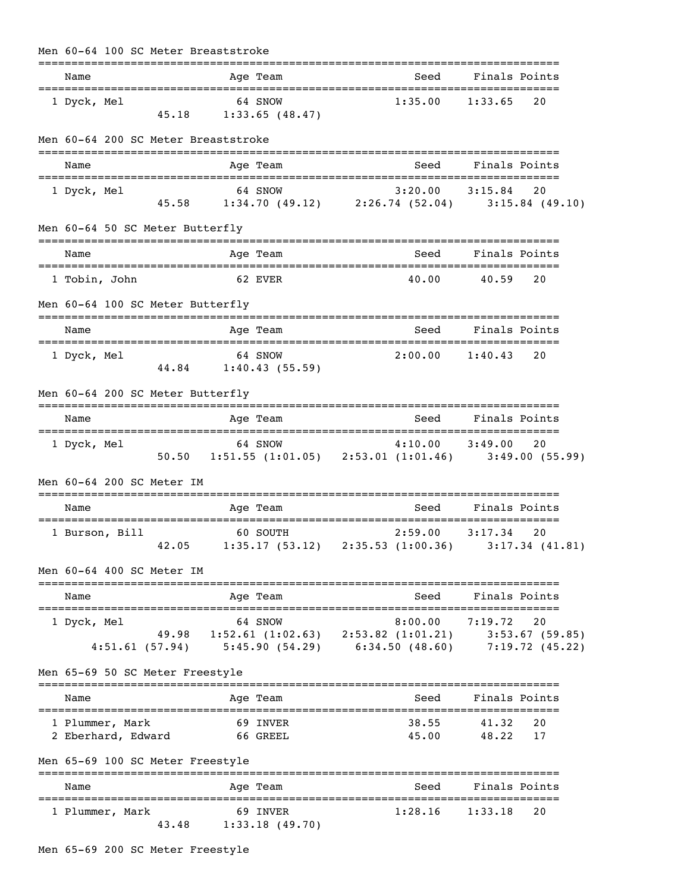| Men 60-64 100 SC Meter Breaststroke            |                                    |                                                                                                                                         |         |                        |                    |          |  |
|------------------------------------------------|------------------------------------|-----------------------------------------------------------------------------------------------------------------------------------------|---------|------------------------|--------------------|----------|--|
| Name                                           |                                    | Age Team                                                                                                                                |         | Seed                   | Finals Points      |          |  |
| 1 Dyck, Mel                                    | 64 SNOW<br>$45.18$ 1:33.65 (48.47) |                                                                                                                                         |         | 1:35.00                | 1:33.65            | 20       |  |
| Men 60-64 200 SC Meter Breaststroke            |                                    |                                                                                                                                         |         |                        |                    |          |  |
| Name                                           |                                    | Age Team                                                                                                                                |         | Seed                   | Finals Points      |          |  |
| 1 Dyck, Mel                                    |                                    | 64 SNOW<br>$64$ SNOW $3:20.00$ $3:15.84$ 20<br>45.58 1:34.70 (49.12) 2:26.74 (52.04) 3:15.84 (49.10)                                    |         | $3:20.00$ $3:15.84$ 20 |                    |          |  |
| Men 60-64 50 SC Meter Butterfly                |                                    |                                                                                                                                         |         |                        |                    |          |  |
| Name                                           |                                    | Age Team                                                                                                                                |         | Seed                   | Finals Points      |          |  |
| 1 Tobin, John                                  |                                    | 62 EVER                                                                                                                                 |         | 40.00                  | 40.59              | 20       |  |
| Men 60-64 100 SC Meter Butterfly               |                                    |                                                                                                                                         |         |                        |                    |          |  |
| Name                                           |                                    | Age Team                                                                                                                                |         | Seed                   | Finals Points      |          |  |
| 1 Dyck, Mel                                    | 44.84 1:40.43 (55.59)              | 64 SNOW                                                                                                                                 |         | 2:00.00                | 1:40.43            | 20       |  |
| Men 60-64 200 SC Meter Butterfly               |                                    |                                                                                                                                         |         |                        |                    |          |  |
| Name                                           |                                    | Age Team                                                                                                                                |         | Seed                   | Finals Points      |          |  |
| 1 Dyck, Mel                                    |                                    | $64$ SNOW $4:10.00$ $3:49.00$ 20<br>50.50 1:51.55 (1:01.05) 2:53.01 (1:01.46) 3:49.00 (55.99)                                           |         |                        |                    |          |  |
| Men 60-64 200 SC Meter TM                      |                                    |                                                                                                                                         |         |                        |                    |          |  |
| Name                                           |                                    | Age Team                                                                                                                                |         |                        | Seed Finals Points |          |  |
| 1 Burson, Bill                                 | 60 SOUTH                           | 42.05 1:35.17 (53.12) 2:35.53 (1:00.36) 3:17.34 (41.81)                                                                                 | 2:59.00 |                        | 3:17.34            | 20       |  |
| Men 60-64 400 SC Meter IM                      |                                    |                                                                                                                                         |         |                        |                    |          |  |
| Name                                           |                                    | Age Team                                                                                                                                |         |                        | Seed Finals Points |          |  |
| 1 Dyck, Mel                                    |                                    | 64 SNOW<br>49.98 1:52.61 (1:02.63) 2:53.82 (1:01.21) 3:53.67 (59.85)<br>4:51.61 (57.94) 5:45.90 (54.29) 6:34.50 (48.60) 7:19.72 (45.22) |         | $8:00.00$ 7:19.72      |                    | 20       |  |
| Men 65-69 50 SC Meter Freestyle                |                                    |                                                                                                                                         |         |                        |                    |          |  |
| Name                                           |                                    | Age Team                                                                                                                                |         | Seed                   | Finals Points      |          |  |
| 1 Plummer, Mark<br>2 Eberhard, Edward 66 GREEL |                                    | 69 INVER                                                                                                                                |         | 38.55<br>45.00         | 41.32<br>48.22     | 20<br>17 |  |
| Men 65-69 100 SC Meter Freestyle               |                                    |                                                                                                                                         |         |                        |                    |          |  |
| Name                                           |                                    | Age Team                                                                                                                                |         | Seed                   | Finals Points      |          |  |
| 1 Plummer, Mark                                | 43.48                              | 69 INVER<br>1:33.18(49.70)                                                                                                              |         | $1:28.16$ $1:33.18$    |                    | 20       |  |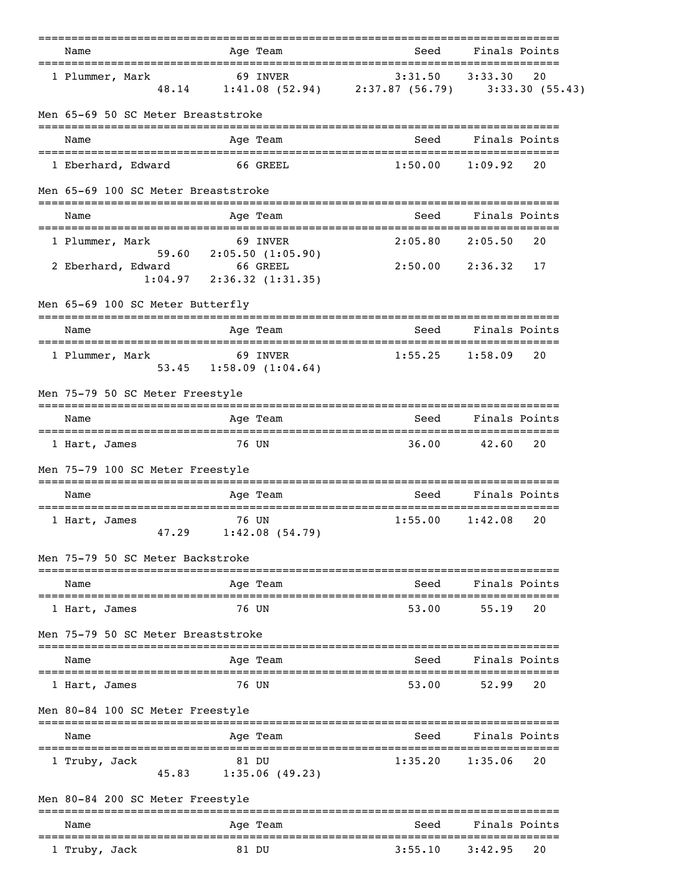|                                                             |                 | -------                                       |                                                            |                       |               |
|-------------------------------------------------------------|-----------------|-----------------------------------------------|------------------------------------------------------------|-----------------------|---------------|
| Name                                                        |                 | Age Team                                      | Seed                                                       | Finals Points         |               |
| 1 Plummer, Mark<br>48.14                                    |                 | 69 INVER                                      | 3:31.50<br>1:41.08 (52.94) 2:37.87 (56.79) 3:33.30 (55.43) | 3:33.30               | 20            |
| Men 65-69 50 SC Meter Breaststroke                          |                 |                                               |                                                            |                       |               |
| Name                                                        |                 | Age Team                                      | Seed                                                       | Finals Points         |               |
| 1 Eberhard, Edward                                          | 66 GREEL        |                                               | 1:50.00                                                    | 1:09.92               | 20            |
| Men 65-69 100 SC Meter Breaststroke                         |                 |                                               |                                                            |                       |               |
| Name                                                        |                 | Age Team                                      |                                                            | Seed Finals Points    |               |
| =====================================<br>1 Plummer, Mark    |                 | 69 INVER                                      | 2:05.80                                                    | 2:05.50               | 20            |
| 2 Eberhard, Edward<br>1:04.97                               | <b>66 GREEL</b> | 59.60 2:05.50 $(1:05.90)$<br>2:36.32(1:31.35) | 2:50.00                                                    | 2:36.32               | 17            |
| Men 65-69 100 SC Meter Butterfly                            |                 |                                               |                                                            |                       |               |
| Name                                                        |                 | Age Team                                      | Seed                                                       | Finals Points         |               |
| 1 Plummer, Mark                                             |                 | 69 INVER<br>53.45 1:58.09 (1:04.64)           | 1:55.25                                                    | 1:58.09               | 20            |
| Men 75-79 50 SC Meter Freestyle                             |                 |                                               |                                                            |                       |               |
| Name                                                        |                 | Age Team                                      | Seed                                                       | Finals Points         |               |
| 1 Hart, James                                               | 76 UN           |                                               | 36.00                                                      | 42.60                 | 20            |
| Men 75-79 100 SC Meter Freestyle                            |                 |                                               |                                                            |                       |               |
| Name                                                        |                 | Age Team                                      | ==============================<br>Seed                     | Finals Points         |               |
| 1 Hart, James                                               | 76 UN           | 47.29 1:42.08 (54.79)                         | 1:55.00                                                    | 1:42.08               | 20            |
| Men 75-79 50 SC Meter Backstroke                            |                 |                                               | ==========================                                 |                       |               |
| Name                                                        |                 | Age Team                                      | Seed                                                       |                       | Finals Points |
| 1 Hart, James                                               |                 | 76 UN                                         | 53.00                                                      | 55.19                 | 20            |
| Men 75-79 50 SC Meter Breaststroke                          |                 |                                               |                                                            |                       |               |
| Name                                                        |                 | Age Team                                      | Seed                                                       |                       | Finals Points |
| 1 Hart, James                                               |                 | 76 UN                                         | 53.00                                                      | 52.99                 | 20            |
| Men 80-84 100 SC Meter Freestyle                            |                 |                                               |                                                            |                       |               |
| Name                                                        |                 | Age Team                                      | Seed                                                       | Finals Points         |               |
| =================================<br>1 Truby, Jack<br>45.83 |                 | 81 DU<br>1:35.06(49.23)                       | 1:35.20                                                    | ==========<br>1:35.06 | 20            |
| Men 80-84 200 SC Meter Freestyle                            |                 |                                               |                                                            |                       |               |
| Name                                                        |                 | ----<br>Age Team                              | Seed                                                       |                       | Finals Points |
| 1 Truby, Jack                                               |                 | 81 DU                                         | 3:55.10                                                    | 3:42.95               | 20            |